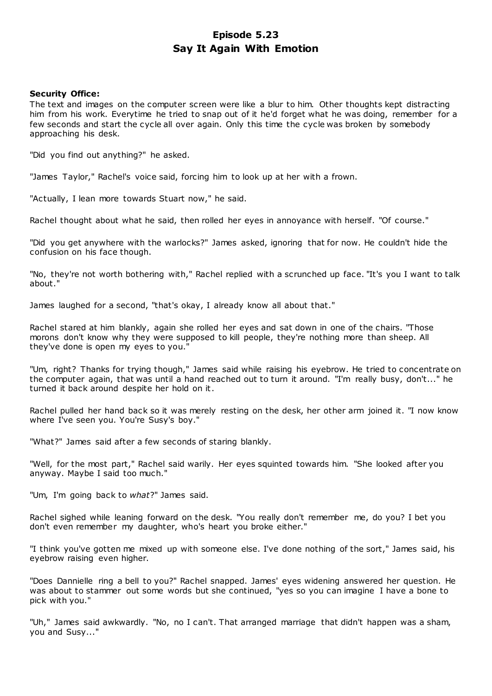# **Episode 5.23 Say It Again With Emotion**

# **Security Office:**

The text and images on the computer screen were like a blur to him. Other thoughts kept distracting him from his work. Everytime he tried to snap out of it he'd forget what he was doing, remember for a few seconds and start the cycle all over again. Only this time the cycle was broken by somebody approaching his desk.

"Did you find out anything?" he asked.

"James Taylor," Rachel's voice said, forcing him to look up at her with a frown.

"Actually, I lean more towards Stuart now," he said.

Rachel thought about what he said, then rolled her eyes in annoyance with herself. "Of course."

"Did you get anywhere with the warlocks?" James asked, ignoring that for now. He couldn't hide the confusion on his face though.

"No, they're not worth bothering with," Rachel replied with a scrunched up face. "It's you I want to talk about."

James laughed for a second, "that's okay, I already know all about that."

Rachel stared at him blankly, again she rolled her eyes and sat down in one of the chairs. "Those morons don't know why they were supposed to kill people, they're nothing more than sheep. All they've done is open my eyes to you."

"Um, right? Thanks for trying though," James said while raising his eyebrow. He tried to concentrate on the computer again, that was until a hand reached out to turn it around. "I'm really busy, don't..." he turned it back around despite her hold on it.

Rachel pulled her hand back so it was merely resting on the desk, her other arm joined it. "I now know where I've seen you. You're Susy's boy."

"What?" James said after a few seconds of staring blankly.

"Well, for the most part," Rachel said warily. Her eyes squinted towards him. "She looked after you anyway. Maybe I said too much."

"Um, I'm going back to *what*?" James said.

Rachel sighed while leaning forward on the desk. "You really don't remember me, do you? I bet you don't even remember my daughter, who's heart you broke either."

"I think you've gotten me mixed up with someone else. I've done nothing of the sort," James said, his eyebrow raising even higher.

"Does Dannielle ring a bell to you?" Rachel snapped. James' eyes widening answered her question. He was about to stammer out some words but she continued, "yes so you can imagine I have a bone to pick with you."

"Uh," James said awkwardly. "No, no I can't. That arranged marriage that didn't happen was a sham, you and Susy..."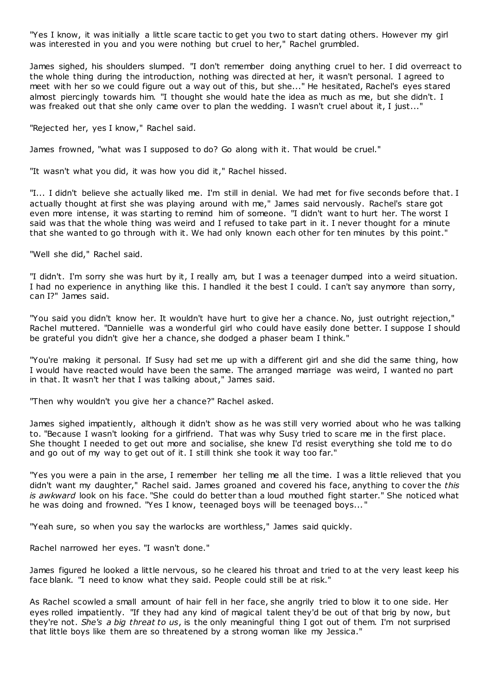"Yes I know, it was initially a little scare tactic to get you two to start dating others. However my girl was interested in you and you were nothing but cruel to her," Rachel grumbled.

James sighed, his shoulders slumped. "I don't remember doing anything cruel to her. I did overreact to the whole thing during the introduction, nothing was directed at her, it wasn't personal. I agreed to meet with her so we could figure out a way out of this, but she..." He hesitated, Rachel's eyes stared almost piercingly towards him. "I thought she would hate the idea as much as me, but she didn't. I was freaked out that she only came over to plan the wedding. I wasn't cruel about it, I just..."

"Rejected her, yes I know," Rachel said.

James frowned, "what was I supposed to do? Go along with it. That would be cruel."

"It wasn't what you did, it was how you did it," Rachel hissed.

"I... I didn't believe she actually liked me. I'm still in denial. We had met for five seconds before that. I actually thought at first she was playing around with me," James said nervously. Rachel's stare got even more intense, it was starting to remind him of someone. "I didn't want to hurt her. The worst I said was that the whole thing was weird and I refused to take part in it. I never thought for a minute that she wanted to go through with it. We had only known each other for ten minutes by this point."

"Well she did," Rachel said.

"I didn't. I'm sorry she was hurt by it, I really am, but I was a teenager dumped into a weird situation. I had no experience in anything like this. I handled it the best I could. I can't say anymore than sorry, can I?" James said.

"You said you didn't know her. It wouldn't have hurt to give her a chance. No, just outright rejection," Rachel muttered. "Dannielle was a wonderful girl who could have easily done better. I suppose I should be grateful you didn't give her a chance, she dodged a phaser beam I think."

"You're making it personal. If Susy had set me up with a different girl and she did the same thing, how I would have reacted would have been the same. The arranged marriage was weird, I wanted no part in that. It wasn't her that I was talking about," James said.

"Then why wouldn't you give her a chance?" Rachel asked.

James sighed impatiently, although it didn't show as he was still very worried about who he was talking to. "Because I wasn't looking for a girlfriend. That was why Susy tried to scare me in the first place. She thought I needed to get out more and socialise, she knew I'd resist everything she told me to do and go out of my way to get out of it. I still think she took it way too far."

"Yes you were a pain in the arse, I remember her telling me all the time. I was a little relieved that you didn't want my daughter," Rachel said. James groaned and covered his face, anything to cover the *this is awkward* look on his face. "She could do better than a loud mouthed fight starter." She noticed what he was doing and frowned. "Yes I know, teenaged boys will be teenaged boys... "

"Yeah sure, so when you say the warlocks are worthless," James said quickly.

Rachel narrowed her eyes. "I wasn't done."

James figured he looked a little nervous, so he cleared his throat and tried to at the very least keep his face blank. "I need to know what they said. People could still be at risk."

As Rachel scowled a small amount of hair fell in her face, she angrily tried to blow it to one side. Her eyes rolled impatiently. "If they had any kind of magical talent they'd be out of that brig by now, but they're not. *She's a big threat to us*, is the only meaningful thing I got out of them. I'm not surprised that little boys like them are so threatened by a strong woman like my Jessica."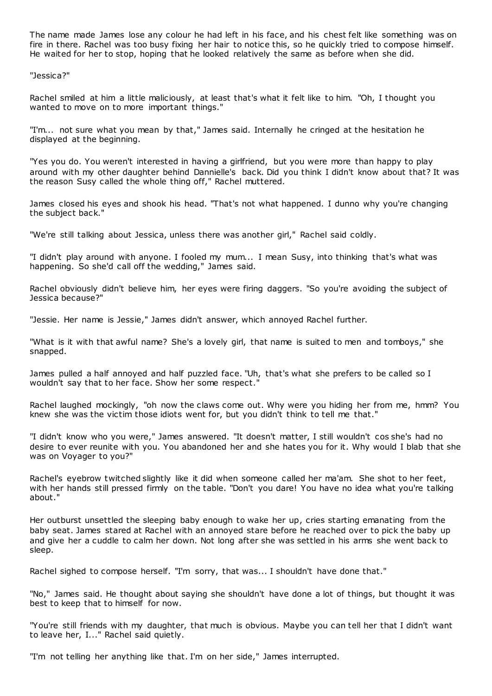The name made James lose any colour he had left in his face, and his chest felt like something was on fire in there. Rachel was too busy fixing her hair to notice this, so he quickly tried to compose himself. He waited for her to stop, hoping that he looked relatively the same as before when she did.

"Jessica?"

Rachel smiled at him a little maliciously, at least that's what it felt like to him. "Oh, I thought you wanted to move on to more important things."

"I'm... not sure what you mean by that," James said. Internally he cringed at the hesitation he displayed at the beginning.

"Yes you do. You weren't interested in having a girlfriend, but you were more than happy to play around with my other daughter behind Dannielle's back. Did you think I didn't know about that? It was the reason Susy called the whole thing off," Rachel muttered.

James closed his eyes and shook his head. "That's not what happened. I dunno why you're changing the subject back."

"We're still talking about Jessica, unless there was another girl," Rachel said coldly.

"I didn't play around with anyone. I fooled my mum... I mean Susy, into thinking that's what was happening. So she'd call off the wedding," James said.

Rachel obviously didn't believe him, her eyes were firing daggers. "So you're avoiding the subject of Jessica because?"

"Jessie. Her name is Jessie," James didn't answer, which annoyed Rachel further.

"What is it with that awful name? She's a lovely girl, that name is suited to men and tomboys," she snapped.

James pulled a half annoyed and half puzzled face. "Uh, that's what she prefers to be called so I wouldn't say that to her face. Show her some respect."

Rachel laughed mockingly, "oh now the claws come out. Why were you hiding her from me, hmm? You knew she was the victim those idiots went for, but you didn't think to tell me that."

"I didn't know who you were," James answered. "It doesn't matter, I still wouldn't cos she's had no desire to ever reunite with you. You abandoned her and she hates you for it. Why would I blab that she was on Voyager to you?"

Rachel's eyebrow twitched slightly like it did when someone called her ma'am. She shot to her feet, with her hands still pressed firmly on the table. "Don't you dare! You have no idea what you're talking about."

Her outburst unsettled the sleeping baby enough to wake her up, cries starting emanating from the baby seat. James stared at Rachel with an annoyed stare before he reached over to pick the baby up and give her a cuddle to calm her down. Not long after she was settled in his arms she went back to sleep.

Rachel sighed to compose herself. "I'm sorry, that was... I shouldn't have done that."

"No," James said. He thought about saying she shouldn't have done a lot of things, but thought it was best to keep that to himself for now.

"You're still friends with my daughter, that much is obvious. Maybe you can tell her that I didn't want to leave her, I..." Rachel said quietly.

"I'm not telling her anything like that. I'm on her side," James interrupted.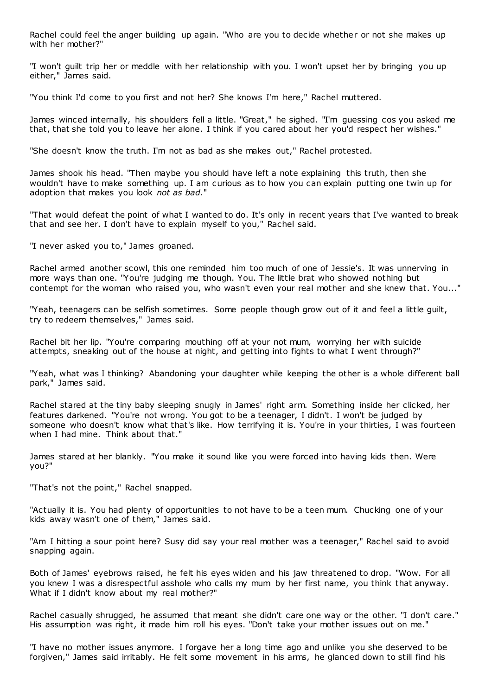Rachel could feel the anger building up again. "Who are you to decide whether or not she makes up with her mother?"

"I won't guilt trip her or meddle with her relationship with you. I won't upset her by bringing you up either," James said.

"You think I'd come to you first and not her? She knows I'm here," Rachel muttered.

James winced internally, his shoulders fell a little. "Great," he sighed. "I'm guessing cos you asked me that, that she told you to leave her alone. I think if you cared about her you'd respect her wishes."

"She doesn't know the truth. I'm not as bad as she makes out," Rachel protested.

James shook his head. "Then maybe you should have left a note explaining this truth, then she wouldn't have to make something up. I am curious as to how you can explain putting one twin up for adoption that makes you look *not as bad*."

"That would defeat the point of what I wanted to do. It's only in recent years that I've wanted to break that and see her. I don't have to explain myself to you," Rachel said.

"I never asked you to," James groaned.

Rachel armed another scowl, this one reminded him too much of one of Jessie's. It was unnerving in more ways than one. "You're judging me though. You. The little brat who showed nothing but contempt for the woman who raised you, who wasn't even your real mother and she knew that. You..."

"Yeah, teenagers can be selfish sometimes. Some people though grow out of it and feel a little guilt, try to redeem themselves," James said.

Rachel bit her lip. "You're comparing mouthing off at your not mum, worrying her with suicide attempts, sneaking out of the house at night, and getting into fights to what I went through?"

"Yeah, what was I thinking? Abandoning your daughter while keeping the other is a whole different ball park," James said.

Rachel stared at the tiny baby sleeping snugly in James' right arm. Something inside her clicked, her features darkened. "You're not wrong. You got to be a teenager, I didn't. I won't be judged by someone who doesn't know what that's like. How terrifying it is. You're in your thirties, I was fourteen when I had mine. Think about that."

James stared at her blankly. "You make it sound like you were forced into having kids then. Were you?"

"That's not the point," Rachel snapped.

"Actually it is. You had plenty of opportunities to not have to be a teen mum. Chucking one of your kids away wasn't one of them," James said.

"Am I hitting a sour point here? Susy did say your real mother was a teenager," Rachel said to avoid snapping again.

Both of James' eyebrows raised, he felt his eyes widen and his jaw threatened to drop. "Wow. For all you knew I was a disrespectful asshole who calls my mum by her first name, you think that anyway. What if I didn't know about my real mother?"

Rachel casually shrugged, he assumed that meant she didn't care one way or the other. "I don't care." His assumption was right, it made him roll his eyes. "Don't take your mother issues out on me."

"I have no mother issues anymore. I forgave her a long time ago and unlike you she deserved to be forgiven," James said irritably. He felt some movement in his arms, he glanced down to still find his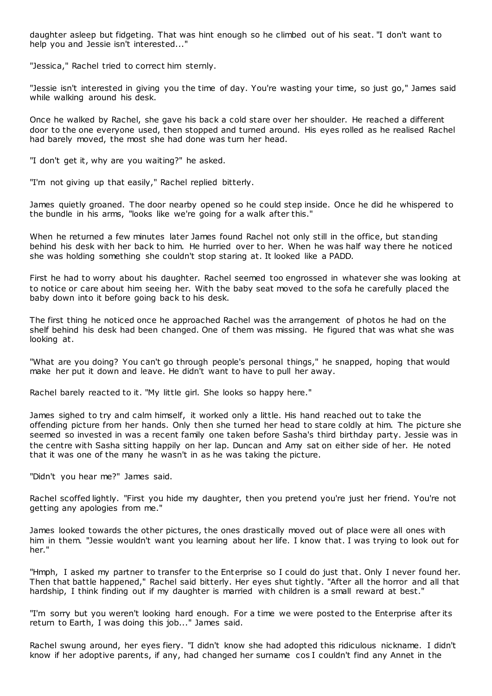daughter asleep but fidgeting. That was hint enough so he climbed out of his seat. "I don't want to help you and Jessie isn't interested..."

"Jessica," Rachel tried to correct him sternly.

"Jessie isn't interested in giving you the time of day. You're wasting your time, so just go," James said while walking around his desk.

Once he walked by Rachel, she gave his back a cold stare over her shoulder. He reached a different door to the one everyone used, then stopped and turned around. His eyes rolled as he realised Rachel had barely moved, the most she had done was turn her head.

"I don't get it, why are you waiting?" he asked.

"I'm not giving up that easily," Rachel replied bitterly.

James quietly groaned. The door nearby opened so he could step inside. Once he did he whispered to the bundle in his arms, "looks like we're going for a walk after this."

When he returned a few minutes later James found Rachel not only still in the office, but standing behind his desk with her back to him. He hurried over to her. When he was half way there he noticed she was holding something she couldn't stop staring at. It looked like a PADD.

First he had to worry about his daughter. Rachel seemed too engrossed in whatever she was looking at to notice or care about him seeing her. With the baby seat moved to the sofa he carefully placed the baby down into it before going back to his desk.

The first thing he noticed once he approached Rachel was the arrangement of photos he had on the shelf behind his desk had been changed. One of them was missing. He figured that was what she was looking at.

"What are you doing? You can't go through people's personal things," he snapped, hoping that would make her put it down and leave. He didn't want to have to pull her away.

Rachel barely reacted to it. "My little girl. She looks so happy here."

James sighed to try and calm himself, it worked only a little. His hand reached out to take the offending picture from her hands. Only then she turned her head to stare coldly at him. The picture she seemed so invested in was a recent family one taken before Sasha's third birthday party. Jessie was in the centre with Sasha sitting happily on her lap. Duncan and Amy sat on either side of her. He noted that it was one of the many he wasn't in as he was taking the picture.

"Didn't you hear me?" James said.

Rachel scoffed lightly. "First you hide my daughter, then you pretend you're just her friend. You're not getting any apologies from me."

James looked towards the other pictures, the ones drastically moved out of place were all ones with him in them. "Jessie wouldn't want you learning about her life. I know that. I was trying to look out for her."

"Hmph, I asked my partner to transfer to the Enterprise so I could do just that. Only I never found her. Then that battle happened," Rachel said bitterly. Her eyes shut tightly. "After all the horror and all that hardship, I think finding out if my daughter is married with children is a small reward at best."

"I'm sorry but you weren't looking hard enough. For a time we were posted to the Enterprise after its return to Earth, I was doing this job..." James said.

Rachel swung around, her eyes fiery. "I didn't know she had adopted this ridiculous nickname. I didn't know if her adoptive parents, if any, had changed her surname cos I couldn't find any Annet in the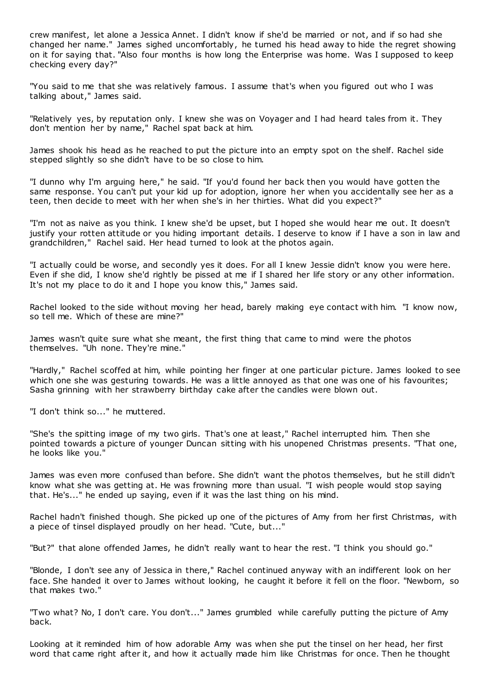crew manifest, let alone a Jessica Annet. I didn't know if she'd be married or not, and if so had she changed her name." James sighed uncomfortably, he turned his head away to hide the regret showing on it for saying that. "Also four months is how long the Enterprise was home. Was I supposed to keep checking every day?"

"You said to me that she was relatively famous. I assume that's when you figured out who I was talking about," James said.

"Relatively yes, by reputation only. I knew she was on Voyager and I had heard tales from it. They don't mention her by name," Rachel spat back at him.

James shook his head as he reached to put the picture into an empty spot on the shelf. Rachel side stepped slightly so she didn't have to be so close to him.

"I dunno why I'm arguing here," he said. "If you'd found her back then you would have gotten the same response. You can't put your kid up for adoption, ignore her when you accidentally see her as a teen, then decide to meet with her when she's in her thirties. What did you expect?"

"I'm not as naive as you think. I knew she'd be upset, but I hoped she would hear me out. It doesn't justify your rotten attitude or you hiding important details. I deserve to know if I have a son in law and grandchildren," Rachel said. Her head turned to look at the photos again.

"I actually could be worse, and secondly yes it does. For all I knew Jessie didn't know you were here. Even if she did, I know she'd rightly be pissed at me if I shared her life story or any other information. It's not my place to do it and I hope you know this," James said.

Rachel looked to the side without moving her head, barely making eye contact with him. "I know now, so tell me. Which of these are mine?"

James wasn't quite sure what she meant, the first thing that came to mind were the photos themselves. "Uh none. They're mine."

"Hardly," Rachel scoffed at him, while pointing her finger at one particular picture. James looked to see which one she was gesturing towards. He was a little annoyed as that one was one of his favourites; Sasha grinning with her strawberry birthday cake after the candles were blown out.

"I don't think so..." he muttered.

"She's the spitting image of my two girls. That's one at least," Rachel interrupted him. Then she pointed towards a picture of younger Duncan sitting with his unopened Christmas presents. "That one, he looks like you."

James was even more confused than before. She didn't want the photos themselves, but he still didn't know what she was getting at. He was frowning more than usual. "I wish people would stop saying that. He's..." he ended up saying, even if it was the last thing on his mind.

Rachel hadn't finished though. She picked up one of the pictures of Amy from her first Christmas, with a piece of tinsel displayed proudly on her head. "Cute, but..."

"But?" that alone offended James, he didn't really want to hear the rest. "I think you should go."

"Blonde, I don't see any of Jessica in there," Rachel continued anyway with an indifferent look on her face. She handed it over to James without looking, he caught it before it fell on the floor. "Newborn, so that makes two."

"Two what? No, I don't care. You don't..." James grumbled while carefully putting the picture of Amy back.

Looking at it reminded him of how adorable Amy was when she put the tinsel on her head, her first word that came right after it, and how it actually made him like Christmas for once. Then he thought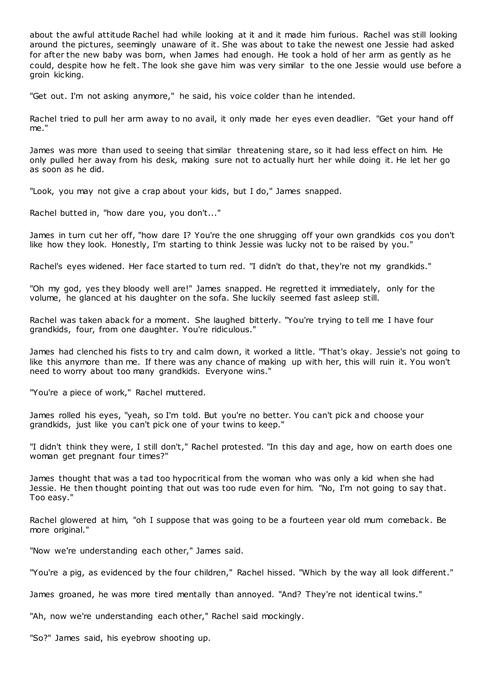about the awful attitude Rachel had while looking at it and it made him furious. Rachel was still looking around the pictures, seemingly unaware of it. She was about to take the newest one Jessie had asked for after the new baby was born, when James had enough. He took a hold of her arm as gently as he could, despite how he felt. The look she gave him was very similar to the one Jessie would use before a groin kicking.

"Get out. I'm not asking anymore," he said, his voice colder than he intended.

Rachel tried to pull her arm away to no avail, it only made her eyes even deadlier. "Get your hand off me."

James was more than used to seeing that similar threatening stare, so it had less effect on him. He only pulled her away from his desk, making sure not to actually hurt her while doing it. He let her go as soon as he did.

"Look, you may not give a crap about your kids, but I do," James snapped.

Rachel butted in, "how dare you, you don't..."

James in turn cut her off, "how dare I? You're the one shrugging off your own grandkids cos you don't like how they look. Honestly, I'm starting to think Jessie was lucky not to be raised by you."

Rachel's eyes widened. Her face started to turn red. "I didn't do that, they're not my grandkids."

"Oh my god, yes they bloody well are!" James snapped. He regretted it immediately, only for the volume, he glanced at his daughter on the sofa. She luckily seemed fast asleep still.

Rachel was taken aback for a moment. She laughed bitterly. "You're trying to tell me I have four grandkids, four, from one daughter. You're ridiculous."

James had clenched his fists to try and calm down, it worked a little. "That's okay. Jessie's not going to like this anymore than me. If there was any chance of making up with her, this will ruin it. You won't need to worry about too many grandkids. Everyone wins."

"You're a piece of work," Rachel muttered.

James rolled his eyes, "yeah, so I'm told. But you're no better. You can't pick and choose your grandkids, just like you can't pick one of your twins to keep."

"I didn't think they were, I still don't," Rachel protested. "In this day and age, how on earth does one woman get pregnant four times?"

James thought that was a tad too hypocritical from the woman who was only a kid when she had Jessie. He then thought pointing that out was too rude even for him. "No, I'm not going to say that. Too easy."

Rachel glowered at him, "oh I suppose that was going to be a fourteen year old mum comeback. Be more original."

"Now we're understanding each other," James said.

"You're a pig, as evidenced by the four children," Rachel hissed. "Which by the way all look different."

James groaned, he was more tired mentally than annoyed. "And? They're not identical twins."

"Ah, now we're understanding each other," Rachel said mockingly.

"So?" James said, his eyebrow shooting up.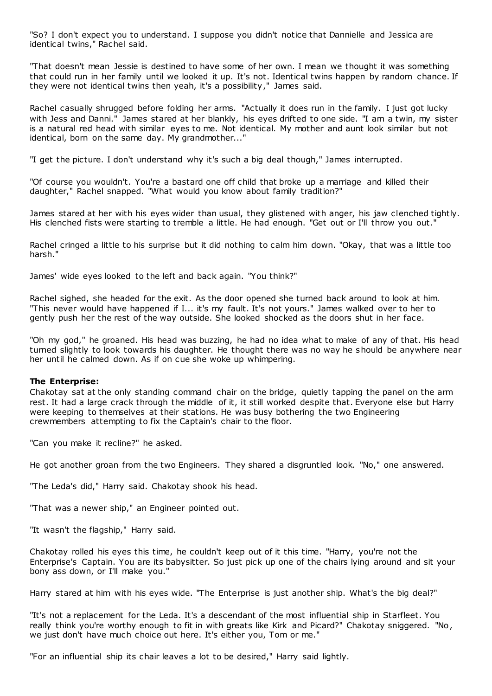"So? I don't expect you to understand. I suppose you didn't notice that Dannielle and Jessica are identical twins," Rachel said.

"That doesn't mean Jessie is destined to have some of her own. I mean we thought it was something that could run in her family until we looked it up. It's not. Identical twins happen by random chance. If they were not identical twins then yeah, it's a possibility," James said.

Rachel casually shrugged before folding her arms. "Actually it does run in the family. I just got lucky with Jess and Danni." James stared at her blankly, his eyes drifted to one side. "I am a twin, my sister is a natural red head with similar eyes to me. Not identical. My mother and aunt look similar but not identical, born on the same day. My grandmother..."

"I get the picture. I don't understand why it's such a big deal though," James interrupted.

"Of course you wouldn't. You're a bastard one off child that broke up a marriage and killed their daughter," Rachel snapped. "What would you know about family tradition?"

James stared at her with his eyes wider than usual, they glistened with anger, his jaw clenched tightly. His clenched fists were starting to tremble a little. He had enough. "Get out or I'll throw you out."

Rachel cringed a little to his surprise but it did nothing to calm him down. "Okay, that was a little too harsh."

James' wide eyes looked to the left and back again. "You think?"

Rachel sighed, she headed for the exit. As the door opened she turned back around to look at him. "This never would have happened if I... it's my fault. It's not yours." James walked over to her to gently push her the rest of the way outside. She looked shocked as the doors shut in her face.

"Oh my god," he groaned. His head was buzzing, he had no idea what to make of any of that. His head turned slightly to look towards his daughter. He thought there was no way he should be anywhere near her until he calmed down. As if on cue she woke up whimpering.

# **The Enterprise:**

Chakotay sat at the only standing command chair on the bridge, quietly tapping the panel on the arm rest. It had a large crack through the middle of it, it still worked despite that. Everyone else but Harry were keeping to themselves at their stations. He was busy bothering the two Engineering crewmembers attempting to fix the Captain's chair to the floor.

"Can you make it recline?" he asked.

He got another groan from the two Engineers. They shared a disgruntled look. "No," one answered.

"The Leda's did," Harry said. Chakotay shook his head.

"That was a newer ship," an Engineer pointed out.

"It wasn't the flagship," Harry said.

Chakotay rolled his eyes this time, he couldn't keep out of it this time. "Harry, you're not the Enterprise's Captain. You are its babysitter. So just pick up one of the chairs lying around and sit your bony ass down, or I'll make you."

Harry stared at him with his eyes wide. "The Enterprise is just another ship. What's the big deal?"

"It's not a replacement for the Leda. It's a descendant of the most influential ship in Starfleet. You really think you're worthy enough to fit in with greats like Kirk and Picard?" Chakotay sniggered. "No, we just don't have much choice out here. It's either you, Tom or me."

"For an influential ship its chair leaves a lot to be desired," Harry said lightly.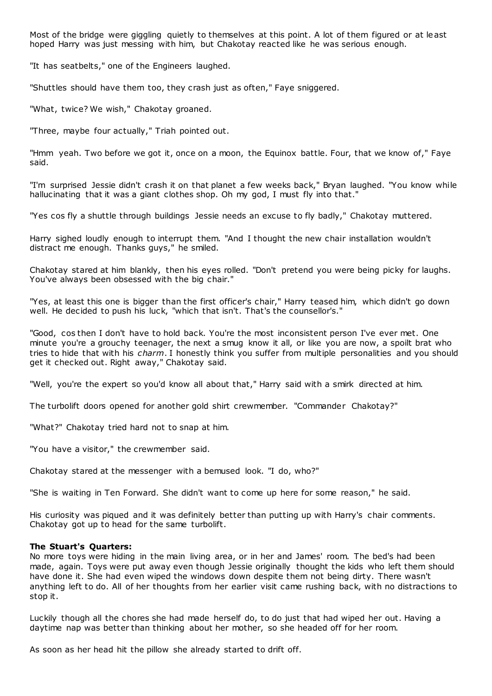Most of the bridge were giggling quietly to themselves at this point. A lot of them figured or at least hoped Harry was just messing with him, but Chakotay reacted like he was serious enough.

"It has seatbelts," one of the Engineers laughed.

"Shuttles should have them too, they crash just as often," Faye sniggered.

"What, twice? We wish," Chakotay groaned.

"Three, maybe four actually," Triah pointed out.

"Hmm yeah. Two before we got it, once on a moon, the Equinox battle. Four, that we know of," Faye said.

"I'm surprised Jessie didn't crash it on that planet a few weeks back," Bryan laughed. "You know while hallucinating that it was a giant clothes shop. Oh my god, I must fly into that."

"Yes cos fly a shuttle through buildings Jessie needs an excuse to fly badly," Chakotay muttered.

Harry sighed loudly enough to interrupt them. "And I thought the new chair installation wouldn't distract me enough. Thanks guys," he smiled.

Chakotay stared at him blankly, then his eyes rolled. "Don't pretend you were being picky for laughs. You've always been obsessed with the big chair."

"Yes, at least this one is bigger than the first officer's chair," Harry teased him, which didn't go down well. He decided to push his luck, "which that isn't. That's the counsellor's."

"Good, cos then I don't have to hold back. You're the most inconsistent person I've ever met. One minute you're a grouchy teenager, the next a smug know it all, or like you are now, a spoilt brat who tries to hide that with his *charm*. I honestly think you suffer from multiple personalities and you should get it checked out. Right away," Chakotay said.

"Well, you're the expert so you'd know all about that," Harry said with a smirk directed at him.

The turbolift doors opened for another gold shirt crewmember. "Commander Chakotay?"

"What?" Chakotay tried hard not to snap at him.

"You have a visitor," the crewmember said.

Chakotay stared at the messenger with a bemused look. "I do, who?"

"She is waiting in Ten Forward. She didn't want to come up here for some reason," he said.

His curiosity was piqued and it was definitely better than putting up with Harry's chair comments. Chakotay got up to head for the same turbolift.

# **The Stuart's Quarters:**

No more toys were hiding in the main living area, or in her and James' room. The bed's had been made, again. Toys were put away even though Jessie originally thought the kids who left them should have done it. She had even wiped the windows down despite them not being dirty. There wasn't anything left to do. All of her thoughts from her earlier visit came rushing back, with no distractions to stop it.

Luckily though all the chores she had made herself do, to do just that had wiped her out. Having a daytime nap was better than thinking about her mother, so she headed off for her room.

As soon as her head hit the pillow she already started to drift off.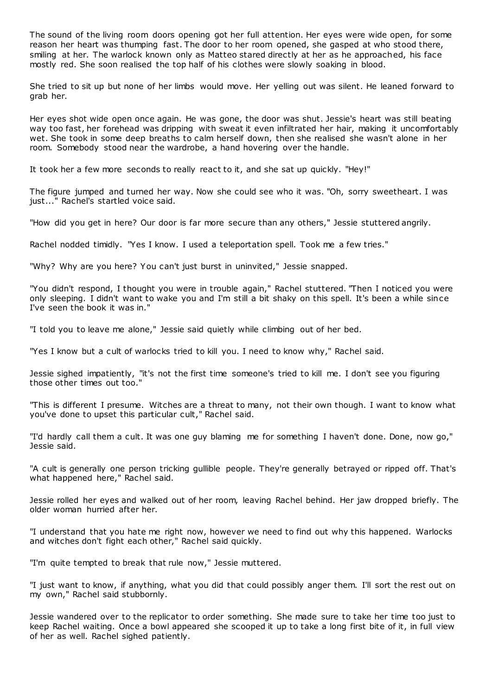The sound of the living room doors opening got her full attention. Her eyes were wide open, for some reason her heart was thumping fast. The door to her room opened, she gasped at who stood there, smiling at her. The warlock known only as Matteo stared directly at her as he approached, his face mostly red. She soon realised the top half of his clothes were slowly soaking in blood.

She tried to sit up but none of her limbs would move. Her yelling out was silent. He leaned forward to grab her.

Her eyes shot wide open once again. He was gone, the door was shut. Jessie's heart was still beating way too fast, her forehead was dripping with sweat it even infiltrated her hair, making it uncomfortably wet. She took in some deep breaths to calm herself down, then she realised she wasn't alone in her room. Somebody stood near the wardrobe, a hand hovering over the handle.

It took her a few more seconds to really react to it, and she sat up quickly. "Hey!"

The figure jumped and turned her way. Now she could see who it was. "Oh, sorry sweetheart. I was just..." Rachel's startled voice said.

"How did you get in here? Our door is far more secure than any others," Jessie stuttered angrily.

Rachel nodded timidly. "Yes I know. I used a teleportation spell. Took me a few tries."

"Why? Why are you here? You can't just burst in uninvited," Jessie snapped.

"You didn't respond, I thought you were in trouble again," Rachel stuttered. "Then I noticed you were only sleeping. I didn't want to wake you and I'm still a bit shaky on this spell. It's been a while since I've seen the book it was in."

"I told you to leave me alone," Jessie said quietly while climbing out of her bed.

"Yes I know but a cult of warlocks tried to kill you. I need to know why," Rachel said.

Jessie sighed impatiently, "it's not the first time someone's tried to kill me. I don't see you figuring those other times out too."

"This is different I presume. Witches are a threat to many, not their own though. I want to know what you've done to upset this particular cult," Rachel said.

"I'd hardly call them a cult. It was one guy blaming me for something I haven't done. Done, now go," Jessie said.

"A cult is generally one person tricking gullible people. They're generally betrayed or ripped off. That's what happened here," Rachel said.

Jessie rolled her eyes and walked out of her room, leaving Rachel behind. Her jaw dropped briefly. The older woman hurried after her.

"I understand that you hate me right now, however we need to find out why this happened. Warlocks and witches don't fight each other," Rachel said quickly.

"I'm quite tempted to break that rule now," Jessie muttered.

"I just want to know, if anything, what you did that could possibly anger them. I'll sort the rest out on my own," Rachel said stubbornly.

Jessie wandered over to the replicator to order something. She made sure to take her time too just to keep Rachel waiting. Once a bowl appeared she scooped it up to take a long first bite of it, in full view of her as well. Rachel sighed patiently.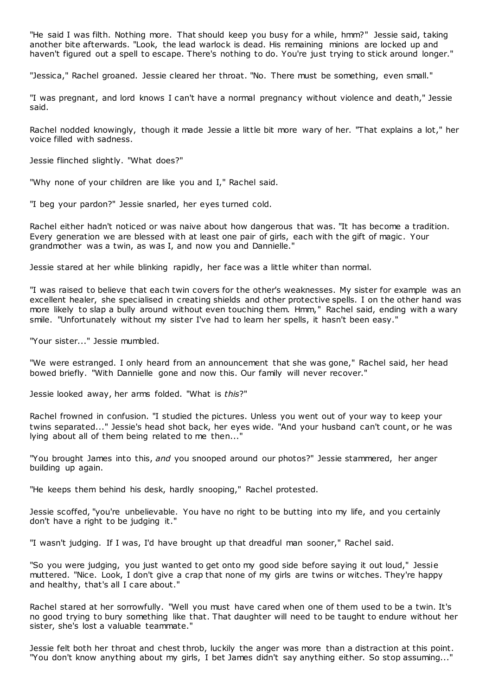"He said I was filth. Nothing more. That should keep you busy for a while, hmm?" Jessie said, taking another bite afterwards. "Look, the lead warlock is dead. His remaining minions are locked up and haven't figured out a spell to escape. There's nothing to do. You're just trying to stick around longer."

"Jessica," Rachel groaned. Jessie cleared her throat. "No. There must be something, even small."

"I was pregnant, and lord knows I can't have a normal pregnancy without violence and death," Jessie said.

Rachel nodded knowingly, though it made Jessie a little bit more wary of her. "That explains a lot," her voice filled with sadness.

Jessie flinched slightly. "What does?"

"Why none of your children are like you and I," Rachel said.

"I beg your pardon?" Jessie snarled, her eyes turned cold.

Rachel either hadn't noticed or was naive about how dangerous that was. "It has become a tradition. Every generation we are blessed with at least one pair of girls, each with the gift of magic . Your grandmother was a twin, as was I, and now you and Dannielle."

Jessie stared at her while blinking rapidly, her face was a little whiter than normal.

"I was raised to believe that each twin covers for the other's weaknesses. My sister for example was an excellent healer, she specialised in creating shields and other protective spells. I on the other hand was more likely to slap a bully around without even touching them. Hmm," Rachel said, ending with a wary smile. "Unfortunately without my sister I've had to learn her spells, it hasn't been easy."

"Your sister..." Jessie mumbled.

"We were estranged. I only heard from an announcement that she was gone," Rachel said, her head bowed briefly. "With Dannielle gone and now this. Our family will never recover."

Jessie looked away, her arms folded. "What is *this*?"

Rachel frowned in confusion. "I studied the pictures. Unless you went out of your way to keep your twins separated..." Jessie's head shot back, her eyes wide. "And your husband can't count, or he was lying about all of them being related to me then..."

"You brought James into this, *and* you snooped around our photos?" Jessie stammered, her anger building up again.

"He keeps them behind his desk, hardly snooping," Rachel protested.

Jessie scoffed, "you're unbelievable. You have no right to be butting into my life, and you certainly don't have a right to be judging it."

"I wasn't judging. If I was, I'd have brought up that dreadful man sooner," Rachel said.

"So you were judging, you just wanted to get onto my good side before saying it out loud," Jessie muttered. "Nice. Look, I don't give a crap that none of my girls are twins or witches. They're happy and healthy, that's all I care about."

Rachel stared at her sorrowfully. "Well you must have cared when one of them used to be a twin. It's no good trying to bury something like that. That daughter will need to be taught to endure without her sister, she's lost a valuable teammate."

Jessie felt both her throat and chest throb, luckily the anger was more than a distraction at this point. "You don't know anything about my girls, I bet James didn't say anything either. So stop assuming..."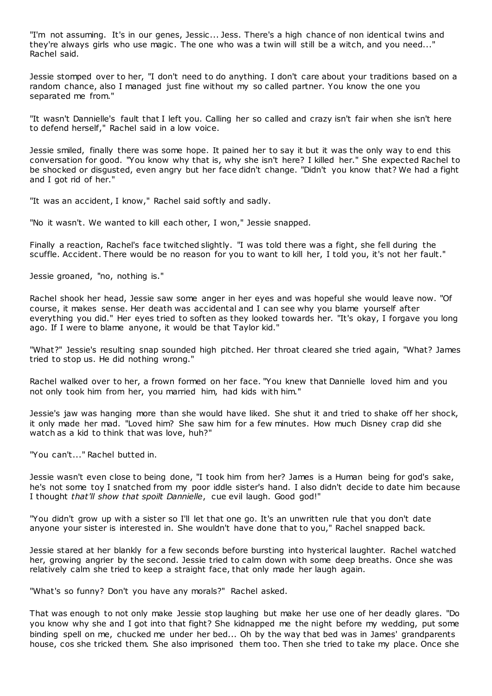"I'm not assuming. It's in our genes, Jessic ... Jess. There's a high chance of non identical twins and they're always girls who use magic . The one who was a twin will still be a witch, and you need..." Rachel said.

Jessie stomped over to her, "I don't need to do anything. I don't care about your traditions based on a random chance, also I managed just fine without my so called partner. You know the one you separated me from."

"It wasn't Dannielle's fault that I left you. Calling her so called and crazy isn't fair when she isn't here to defend herself," Rachel said in a low voice.

Jessie smiled, finally there was some hope. It pained her to say it but it was the only way to end this conversation for good. "You know why that is, why she isn't here? I killed her." She expected Rachel to be shocked or disgusted, even angry but her face didn't change. "Didn't you know that? We had a fight and I got rid of her."

"It was an accident, I know," Rachel said softly and sadly.

"No it wasn't. We wanted to kill each other, I won," Jessie snapped.

Finally a reaction, Rachel's face twitched slightly. "I was told there was a fight, she fell during the scuffle. Accident. There would be no reason for you to want to kill her, I told you, it's not her fault."

Jessie groaned, "no, nothing is."

Rachel shook her head, Jessie saw some anger in her eyes and was hopeful she would leave now. "Of course, it makes sense. Her death was accidental and I can see why you blame yourself after everything you did." Her eyes tried to soften as they looked towards her. "It's okay, I forgave you long ago. If I were to blame anyone, it would be that Taylor kid."

"What?" Jessie's resulting snap sounded high pitched. Her throat cleared she tried again, "What? James tried to stop us. He did nothing wrong."

Rachel walked over to her, a frown formed on her face. "You knew that Dannielle loved him and you not only took him from her, you married him, had kids with him."

Jessie's jaw was hanging more than she would have liked. She shut it and tried to shake off her shock, it only made her mad. "Loved him? She saw him for a few minutes. How much Disney crap did she watch as a kid to think that was love, huh?"

"You can't..." Rachel butted in.

Jessie wasn't even close to being done, "I took him from her? James is a Human being for god's sake, he's not some toy I snatched from my poor iddle sister's hand. I also didn't decide to date him because I thought *that'll show that spoilt Dannielle*, cue evil laugh. Good god!"

"You didn't grow up with a sister so I'll let that one go. It's an unwritten rule that you don't date anyone your sister is interested in. She wouldn't have done that to you," Rachel snapped back.

Jessie stared at her blankly for a few seconds before bursting into hysterical laughter. Rachel watched her, growing angrier by the second. Jessie tried to calm down with some deep breaths. Once she was relatively calm she tried to keep a straight face, that only made her laugh again.

"What's so funny? Don't you have any morals?" Rachel asked.

That was enough to not only make Jessie stop laughing but make her use one of her deadly glares. "Do you know why she and I got into that fight? She kidnapped me the night before my wedding, put some binding spell on me, chucked me under her bed... Oh by the way that bed was in James' grandparents house, cos she tricked them. She also imprisoned them too. Then she tried to take my place. Once she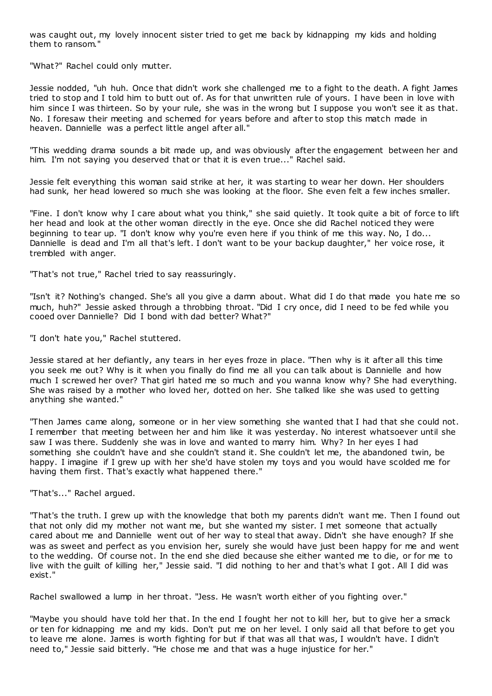was caught out, my lovely innocent sister tried to get me back by kidnapping my kids and holding them to ransom."

"What?" Rachel could only mutter.

Jessie nodded, "uh huh. Once that didn't work she challenged me to a fight to the death. A fight James tried to stop and I told him to butt out of. As for that unwritten rule of yours. I have been in love with him since I was thirteen. So by your rule, she was in the wrong but I suppose you won't see it as that. No. I foresaw their meeting and schemed for years before and after to stop this match made in heaven. Dannielle was a perfect little angel after all."

"This wedding drama sounds a bit made up, and was obviously after the engagement between her and him. I'm not saying you deserved that or that it is even true..." Rachel said.

Jessie felt everything this woman said strike at her, it was starting to wear her down. Her shoulders had sunk, her head lowered so much she was looking at the floor. She even felt a few inches smaller.

"Fine. I don't know why I care about what you think," she said quietly. It took quite a bit of force to lift her head and look at the other woman directly in the eye. Once she did Rachel noticed they were beginning to tear up. "I don't know why you're even here if you think of me this way. No, I do... Dannielle is dead and I'm all that's left. I don't want to be your backup daughter," her voice rose, it trembled with anger.

"That's not true," Rachel tried to say reassuringly.

"Isn't it? Nothing's changed. She's all you give a damn about. What did I do that made you hate me so much, huh?" Jessie asked through a throbbing throat. "Did I cry once, did I need to be fed while you cooed over Dannielle? Did I bond with dad better? What?"

"I don't hate you," Rachel stuttered.

Jessie stared at her defiantly, any tears in her eyes froze in place. "Then why is it after all this time you seek me out? Why is it when you finally do find me all you can talk about is Dannielle and how much I screwed her over? That girl hated me so much and you wanna know why? She had everything. She was raised by a mother who loved her, dotted on her. She talked like she was used to getting anything she wanted."

"Then James came along, someone or in her view something she wanted that I had that she could not. I remember that meeting between her and him like it was yesterday. No interest whatsoever until she saw I was there. Suddenly she was in love and wanted to marry him. Why? In her eyes I had something she couldn't have and she couldn't stand it. She couldn't let me, the abandoned twin, be happy. I imagine if I grew up with her she'd have stolen my toys and you would have scolded me for having them first. That's exactly what happened there."

"That's..." Rachel argued.

"That's the truth. I grew up with the knowledge that both my parents didn't want me. Then I found out that not only did my mother not want me, but she wanted my sister. I met someone that actually cared about me and Dannielle went out of her way to steal that away. Didn't she have enough? If she was as sweet and perfect as you envision her, surely she would have just been happy for me and went to the wedding. Of course not. In the end she died because she either wanted me to die, or for me to live with the guilt of killing her," Jessie said. "I did nothing to her and that's what I got. All I did was exist."

Rachel swallowed a lump in her throat. "Jess. He wasn't worth either of you fighting over."

"Maybe you should have told her that. In the end I fought her not to kill her, but to give her a smack or ten for kidnapping me and my kids. Don't put me on her level. I only said all that before to get you to leave me alone. James is worth fighting for but if that was all that was, I wouldn't have. I didn't need to," Jessie said bitterly. "He chose me and that was a huge injustice for her."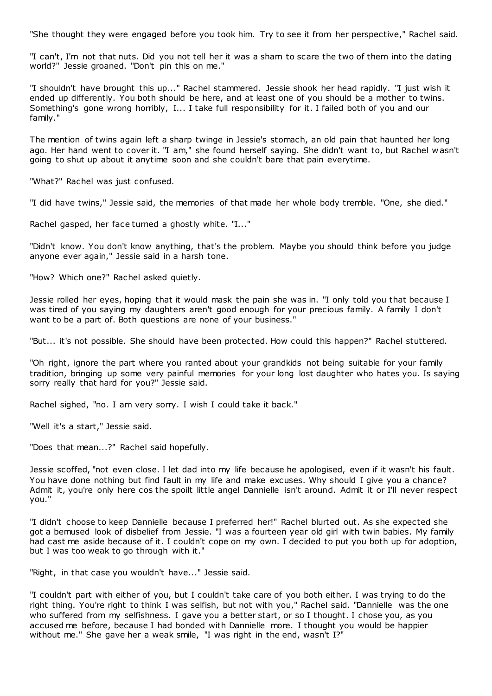"She thought they were engaged before you took him. Try to see it from her perspective," Rachel said.

"I can't, I'm not that nuts. Did you not tell her it was a sham to scare the two of them into the dating world?" Jessie groaned. "Don't pin this on me."

"I shouldn't have brought this up..." Rachel stammered. Jessie shook her head rapidly. "I just wish it ended up differently. You both should be here, and at least one of you should be a mother to twins. Something's gone wrong horribly, I... I take full responsibility for it. I failed both of you and our family."

The mention of twins again left a sharp twinge in Jessie's stomach, an old pain that haunted her long ago. Her hand went to cover it. "I am," she found herself saying. She didn't want to, but Rachel w asn't going to shut up about it anytime soon and she couldn't bare that pain everytime.

"What?" Rachel was just confused.

"I did have twins," Jessie said, the memories of that made her whole body tremble. "One, she died."

Rachel gasped, her face turned a ghostly white. "I..."

"Didn't know. You don't know anything, that's the problem. Maybe you should think before you judge anyone ever again," Jessie said in a harsh tone.

"How? Which one?" Rachel asked quietly.

Jessie rolled her eyes, hoping that it would mask the pain she was in. "I only told you that because I was tired of you saying my daughters aren't good enough for your precious family. A family I don't want to be a part of. Both questions are none of your business."

"But... it's not possible. She should have been protected. How could this happen?" Rachel stuttered.

"Oh right, ignore the part where you ranted about your grandkids not being suitable for your family tradition, bringing up some very painful memories for your long lost daughter who hates you. Is saying sorry really that hard for you?" Jessie said.

Rachel sighed, "no. I am very sorry. I wish I could take it back."

"Well it's a start," Jessie said.

"Does that mean...?" Rachel said hopefully.

Jessie scoffed, "not even close. I let dad into my life because he apologised, even if it wasn't his fault. You have done nothing but find fault in my life and make excuses. Why should I give you a chance? Admit it, you're only here cos the spoilt little angel Dannielle isn't around. Admit it or I'll never respect you."

"I didn't choose to keep Dannielle because I preferred her!" Rachel blurted out. As she expected she got a bemused look of disbelief from Jessie. "I was a fourteen year old girl with twin babies. My family had cast me aside because of it. I couldn't cope on my own. I decided to put you both up for adoption, but I was too weak to go through with it."

"Right, in that case you wouldn't have..." Jessie said.

"I couldn't part with either of you, but I couldn't take care of you both either. I was trying to do the right thing. You're right to think I was selfish, but not with you," Rachel said. "Dannielle was the one who suffered from my selfishness. I gave you a better start, or so I thought. I chose you, as you accused me before, because I had bonded with Dannielle more. I thought you would be happier without me." She gave her a weak smile, "I was right in the end, wasn't I?"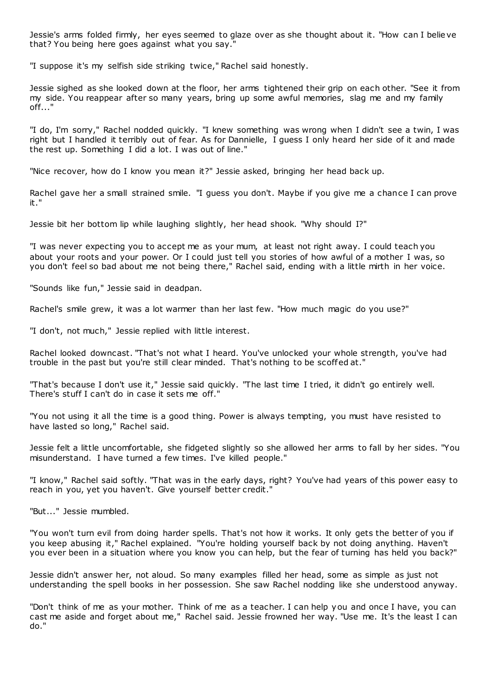Jessie's arms folded firmly, her eyes seemed to glaze over as she thought about it. "How can I belie ve that? You being here goes against what you say."

"I suppose it's my selfish side striking twice," Rachel said honestly.

Jessie sighed as she looked down at the floor, her arms tightened their grip on each other. "See it from my side. You reappear after so many years, bring up some awful memories, slag me and my family off..."

"I do, I'm sorry," Rachel nodded quickly. "I knew something was wrong when I didn't see a twin, I was right but I handled it terribly out of fear. As for Dannielle, I guess I only heard her side of it and made the rest up. Something I did a lot. I was out of line."

"Nice recover, how do I know you mean it?" Jessie asked, bringing her head back up.

Rachel gave her a small strained smile. "I guess you don't. Maybe if you give me a chance I can prove it."

Jessie bit her bottom lip while laughing slightly, her head shook. "Why should I?"

"I was never expecting you to accept me as your mum, at least not right away. I could teach you about your roots and your power. Or I could just tell you stories of how awful of a mother I was, so you don't feel so bad about me not being there," Rachel said, ending with a little mirth in her voice.

"Sounds like fun," Jessie said in deadpan.

Rachel's smile grew, it was a lot warmer than her last few. "How much magic do you use?"

"I don't, not much," Jessie replied with little interest.

Rachel looked downcast. "That's not what I heard. You've unlocked your whole strength, you've had trouble in the past but you're still clear minded. That's nothing to be scoffed at."

"That's because I don't use it," Jessie said quickly. "The last time I tried, it didn't go entirely well. There's stuff I can't do in case it sets me off."

"You not using it all the time is a good thing. Power is always tempting, you must have resisted to have lasted so long," Rachel said.

Jessie felt a little uncomfortable, she fidgeted slightly so she allowed her arms to fall by her sides. "You misunderstand. I have turned a few times. I've killed people."

"I know," Rachel said softly. "That was in the early days, right? You've had years of this power easy to reach in you, yet you haven't. Give yourself better credit."

"But..." Jessie mumbled.

"You won't turn evil from doing harder spells. That's not how it works. It only gets the better of you if you keep abusing it," Rachel explained. "You're holding yourself back by not doing anything. Haven't you ever been in a situation where you know you can help, but the fear of turning has held you back?"

Jessie didn't answer her, not aloud. So many examples filled her head, some as simple as just not understanding the spell books in her possession. She saw Rachel nodding like she understood anyway.

"Don't think of me as your mother. Think of me as a teacher. I can help you and once I have, you can cast me aside and forget about me," Rachel said. Jessie frowned her way. "Use me. It's the least I can do."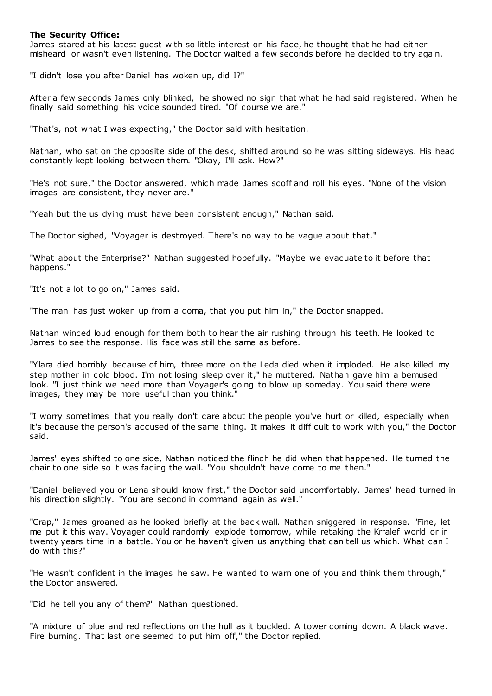# **The Security Office:**

James stared at his latest guest with so little interest on his face, he thought that he had either misheard or wasn't even listening. The Doctor waited a few seconds before he decided to try again.

"I didn't lose you after Daniel has woken up, did I?"

After a few seconds James only blinked, he showed no sign that what he had said registered. When he finally said something his voice sounded tired. "Of course we are."

"That's, not what I was expecting," the Doctor said with hesitation.

Nathan, who sat on the opposite side of the desk, shifted around so he was sitting sideways. His head constantly kept looking between them. "Okay, I'll ask. How?"

"He's not sure," the Doctor answered, which made James scoff and roll his eyes. "None of the vision images are consistent, they never are."

"Yeah but the us dying must have been consistent enough," Nathan said.

The Doctor sighed, "Voyager is destroyed. There's no way to be vague about that."

"What about the Enterprise?" Nathan suggested hopefully. "Maybe we evacuate to it before that happens."

"It's not a lot to go on," James said.

"The man has just woken up from a coma, that you put him in," the Doctor snapped.

Nathan winced loud enough for them both to hear the air rushing through his teeth. He looked to James to see the response. His face was still the same as before.

"Ylara died horribly because of him, three more on the Leda died when it imploded. He also killed my step mother in cold blood. I'm not losing sleep over it," he muttered. Nathan gave him a bemused look. "I just think we need more than Voyager's going to blow up someday. You said there were images, they may be more useful than you think."

"I worry sometimes that you really don't care about the people you've hurt or killed, especially when it's because the person's accused of the same thing. It makes it difficult to work with you," the Doctor said.

James' eyes shifted to one side, Nathan noticed the flinch he did when that happened. He turned the chair to one side so it was facing the wall. "You shouldn't have come to me then."

"Daniel believed you or Lena should know first," the Doctor said uncomfortably. James' head turned in his direction slightly. "You are second in command again as well."

"Crap," James groaned as he looked briefly at the back wall. Nathan sniggered in response. "Fine, let me put it this way. Voyager could randomly explode tomorrow, while retaking the Krralef world or in twenty years time in a battle. You or he haven't given us anything that can tell us which. What can I do with this?"

"He wasn't confident in the images he saw. He wanted to warn one of you and think them through," the Doctor answered.

"Did he tell you any of them?" Nathan questioned.

"A mixture of blue and red reflections on the hull as it buckled. A tower coming down. A black wave. Fire burning. That last one seemed to put him off," the Doctor replied.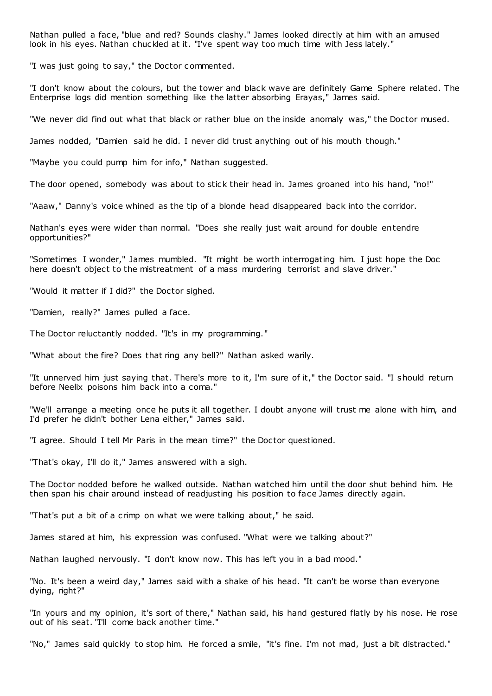Nathan pulled a face, "blue and red? Sounds clashy." James looked directly at him with an amused look in his eyes. Nathan chuckled at it. "I've spent way too much time with Jess lately."

"I was just going to say," the Doctor commented.

"I don't know about the colours, but the tower and black wave are definitely Game Sphere related. The Enterprise logs did mention something like the latter absorbing Erayas," James said.

"We never did find out what that black or rather blue on the inside anomaly was," the Doctor mused.

James nodded, "Damien said he did. I never did trust anything out of his mouth though."

"Maybe you could pump him for info," Nathan suggested.

The door opened, somebody was about to stick their head in. James groaned into his hand, "no!"

"Aaaw," Danny's voice whined as the tip of a blonde head disappeared back into the corridor.

Nathan's eyes were wider than normal. "Does she really just wait around for double entendre opportunities?"

"Sometimes I wonder," James mumbled. "It might be worth interrogating him. I just hope the Doc here doesn't object to the mistreatment of a mass murdering terrorist and slave driver."

"Would it matter if I did?" the Doctor sighed.

"Damien, really?" James pulled a face.

The Doctor reluctantly nodded. "It's in my programming."

"What about the fire? Does that ring any bell?" Nathan asked warily.

"It unnerved him just saying that. There's more to it, I'm sure of it," the Doctor said. "I should return before Neelix poisons him back into a coma."

"We'll arrange a meeting once he puts it all together. I doubt anyone will trust me alone with him, and I'd prefer he didn't bother Lena either," James said.

"I agree. Should I tell Mr Paris in the mean time?" the Doctor questioned.

"That's okay, I'll do it," James answered with a sigh.

The Doctor nodded before he walked outside. Nathan watched him until the door shut behind him. He then span his chair around instead of readjusting his position to face James directly again.

"That's put a bit of a crimp on what we were talking about," he said.

James stared at him, his expression was confused. "What were we talking about?"

Nathan laughed nervously. "I don't know now. This has left you in a bad mood."

"No. It's been a weird day," James said with a shake of his head. "It can't be worse than everyone dying, right?"

"In yours and my opinion, it's sort of there," Nathan said, his hand gestured flatly by his nose. He rose out of his seat. "I'll come back another time."

"No," James said quickly to stop him. He forced a smile, "it's fine. I'm not mad, just a bit distracted."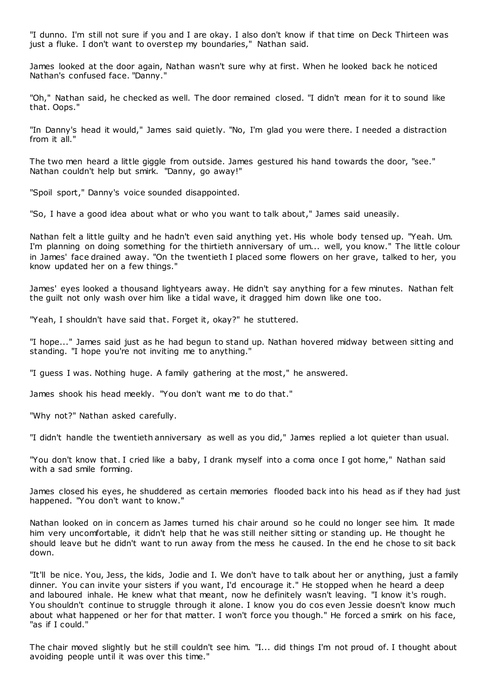"I dunno. I'm still not sure if you and I are okay. I also don't know if that time on Deck Thirteen was just a fluke. I don't want to overstep my boundaries," Nathan said.

James looked at the door again, Nathan wasn't sure why at first. When he looked back he noticed Nathan's confused face. "Danny."

"Oh," Nathan said, he checked as well. The door remained closed. "I didn't mean for it to sound like that. Oops."

"In Danny's head it would," James said quietly. "No, I'm glad you were there. I needed a distraction from it all."

The two men heard a little giggle from outside. James gestured his hand towards the door, "see." Nathan couldn't help but smirk. "Danny, go away!"

"Spoil sport," Danny's voice sounded disappointed.

"So, I have a good idea about what or who you want to talk about," James said uneasily.

Nathan felt a little guilty and he hadn't even said anything yet. His whole body tensed up. "Yeah. Um. I'm planning on doing something for the thirtieth anniversary of um... well, you know." The little colour in James' face drained away. "On the twentieth I placed some flowers on her grave, talked to her, you know updated her on a few things."

James' eyes looked a thousand lightyears away. He didn't say anything for a few minutes. Nathan felt the guilt not only wash over him like a tidal wave, it dragged him down like one too.

"Yeah, I shouldn't have said that. Forget it, okay?" he stuttered.

"I hope..." James said just as he had begun to stand up. Nathan hovered midway between sitting and standing. "I hope you're not inviting me to anything."

"I guess I was. Nothing huge. A family gathering at the most," he answered.

James shook his head meekly. "You don't want me to do that."

"Why not?" Nathan asked carefully.

"I didn't handle the twentieth anniversary as well as you did," James replied a lot quieter than usual.

"You don't know that. I cried like a baby, I drank myself into a coma once I got home," Nathan said with a sad smile forming.

James closed his eyes, he shuddered as certain memories flooded back into his head as if they had just happened. "You don't want to know."

Nathan looked on in concern as James turned his chair around so he could no longer see him. It made him very uncomfortable, it didn't help that he was still neither sitting or standing up. He thought he should leave but he didn't want to run away from the mess he caused. In the end he chose to sit back down.

"It'll be nice. You, Jess, the kids, Jodie and I. We don't have to talk about her or anything, just a family dinner. You can invite your sisters if you want, I'd encourage it." He stopped when he heard a deep and laboured inhale. He knew what that meant, now he definitely wasn't leaving. "I know it's rough. You shouldn't continue to struggle through it alone. I know you do cos even Jessie doesn't know much about what happened or her for that matter. I won't force you though." He forced a smirk on his face, "as if I could."

The chair moved slightly but he still couldn't see him. "I... did things I'm not proud of. I thought about avoiding people until it was over this time."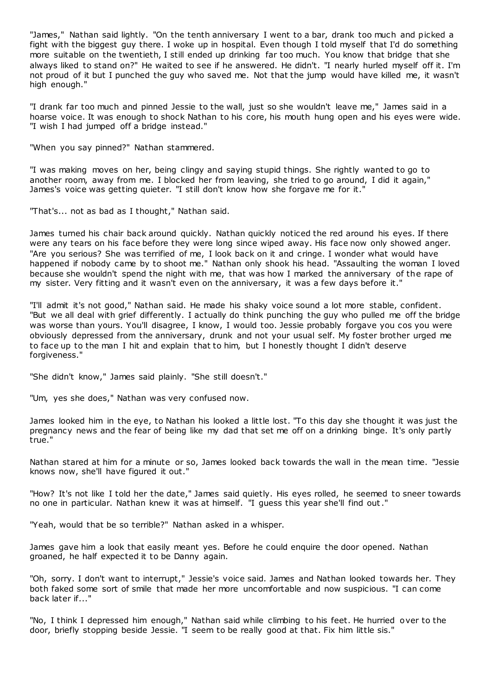"James," Nathan said lightly. "On the tenth anniversary I went to a bar, drank too much and picked a fight with the biggest guy there. I woke up in hospital. Even though I told myself that I'd do something more suitable on the twentieth, I still ended up drinking far too much. You know that bridge that she always liked to stand on?" He waited to see if he answered. He didn't. "I nearly hurled myself off it. I'm not proud of it but I punched the guy who saved me. Not that the jump would have killed me, it wasn't high enough."

"I drank far too much and pinned Jessie to the wall, just so she wouldn't leave me," James said in a hoarse voice. It was enough to shock Nathan to his core, his mouth hung open and his eyes were wide. "I wish I had jumped off a bridge instead."

"When you say pinned?" Nathan stammered.

"I was making moves on her, being clingy and saying stupid things. She rightly wanted to go to another room, away from me. I blocked her from leaving, she tried to go around, I did it again," James's voice was getting quieter. "I still don't know how she forgave me for it."

"That's... not as bad as I thought," Nathan said.

James turned his chair back around quickly. Nathan quickly noticed the red around his eyes. If there were any tears on his face before they were long since wiped away. His face now only showed anger. "Are you serious? She was terrified of me, I look back on it and cringe. I wonder what would have happened if nobody came by to shoot me." Nathan only shook his head. "Assaulting the woman I loved because she wouldn't spend the night with me, that was how I marked the anniversary of the rape of my sister. Very fitting and it wasn't even on the anniversary, it was a few days before it."

"I'll admit it's not good," Nathan said. He made his shaky voice sound a lot more stable, confident. "But we all deal with grief differently. I actually do think punching the guy who pulled me off the bridge was worse than yours. You'll disagree, I know, I would too. Jessie probably forgave you cos you were obviously depressed from the anniversary, drunk and not your usual self. My foster brother urged me to face up to the man I hit and explain that to him, but I honestly thought I didn't deserve forgiveness."

"She didn't know," James said plainly. "She still doesn't."

"Um, yes she does," Nathan was very confused now.

James looked him in the eye, to Nathan his looked a little lost. "To this day she thought it was just the pregnancy news and the fear of being like my dad that set me off on a drinking binge. It's only partly true."

Nathan stared at him for a minute or so, James looked back towards the wall in the mean time. "Jessie knows now, she'll have figured it out."

"How? It's not like I told her the date," James said quietly. His eyes rolled, he seemed to sneer towards no one in particular. Nathan knew it was at himself. "I guess this year she'll find out."

"Yeah, would that be so terrible?" Nathan asked in a whisper.

James gave him a look that easily meant yes. Before he could enquire the door opened. Nathan groaned, he half expected it to be Danny again.

"Oh, sorry. I don't want to interrupt," Jessie's voice said. James and Nathan looked towards her. They both faked some sort of smile that made her more uncomfortable and now suspicious. "I can come back later if..."

"No, I think I depressed him enough," Nathan said while climbing to his feet. He hurried over to the door, briefly stopping beside Jessie. "I seem to be really good at that. Fix him little sis."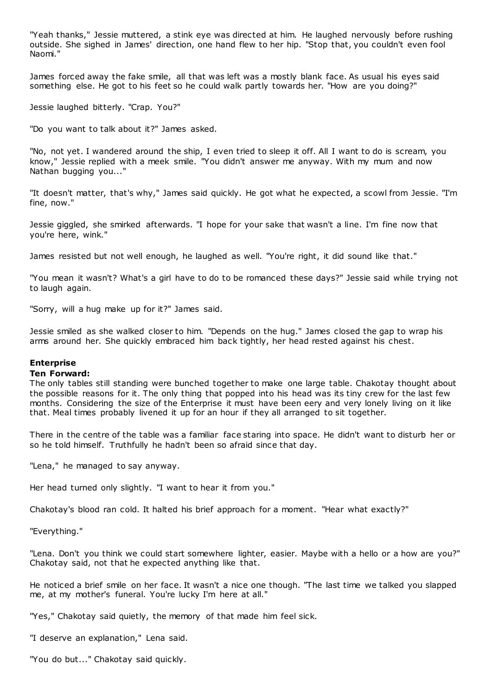"Yeah thanks," Jessie muttered, a stink eye was directed at him. He laughed nervously before rushing outside. She sighed in James' direction, one hand flew to her hip. "Stop that, you couldn't even fool Naomi."

James forced away the fake smile, all that was left was a mostly blank face. As usual his eyes said something else. He got to his feet so he could walk partly towards her. "How are you doing?"

Jessie laughed bitterly. "Crap. You?"

"Do you want to talk about it?" James asked.

"No, not yet. I wandered around the ship, I even tried to sleep it off. All I want to do is scream, you know," Jessie replied with a meek smile. "You didn't answer me anyway. With my mum and now Nathan bugging you..."

"It doesn't matter, that's why," James said quickly. He got what he expected, a scowl from Jessie. "I'm fine, now."

Jessie giggled, she smirked afterwards. "I hope for your sake that wasn't a line. I'm fine now that you're here, wink."

James resisted but not well enough, he laughed as well. "You're right, it did sound like that."

"You mean it wasn't? What's a girl have to do to be romanced these days?" Jessie said while trying not to laugh again.

"Sorry, will a hug make up for it?" James said.

Jessie smiled as she walked closer to him. "Depends on the hug." James closed the gap to wrap his arms around her. She quickly embraced him back tightly, her head rested against his chest.

# **Enterprise**

#### **Ten Forward:**

The only tables still standing were bunched together to make one large table. Chakotay thought about the possible reasons for it. The only thing that popped into his head was its tiny crew for the last few months. Considering the size of the Enterprise it must have been eery and very lonely living on it like that. Meal times probably livened it up for an hour if they all arranged to sit together.

There in the centre of the table was a familiar face staring into space. He didn't want to disturb her or so he told himself. Truthfully he hadn't been so afraid since that day.

"Lena," he managed to say anyway.

Her head turned only slightly. "I want to hear it from you."

Chakotay's blood ran cold. It halted his brief approach for a moment. "Hear what exactly?"

"Everything."

"Lena. Don't you think we could start somewhere lighter, easier. Maybe with a hello or a how are you?" Chakotay said, not that he expected anything like that.

He noticed a brief smile on her face. It wasn't a nice one though. "The last time we talked you slapped me, at my mother's funeral. You're lucky I'm here at all."

"Yes," Chakotay said quietly, the memory of that made him feel sick.

"I deserve an explanation," Lena said.

"You do but..." Chakotay said quickly.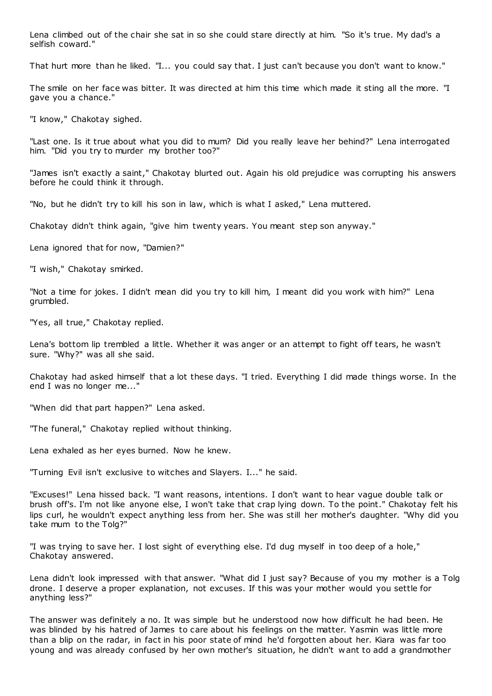Lena climbed out of the chair she sat in so she could stare directly at him. "So it's true. My dad's a selfish coward."

That hurt more than he liked. "I... you could say that. I just can't because you don't want to know."

The smile on her face was bitter. It was directed at him this time which made it sting all the more. "I gave you a chance."

"I know," Chakotay sighed.

"Last one. Is it true about what you did to mum? Did you really leave her behind?" Lena interrogated him. "Did you try to murder my brother too?"

"James isn't exactly a saint," Chakotay blurted out. Again his old prejudice was corrupting his answers before he could think it through.

"No, but he didn't try to kill his son in law, which is what I asked," Lena muttered.

Chakotay didn't think again, "give him twenty years. You meant step son anyway."

Lena ignored that for now, "Damien?"

"I wish," Chakotay smirked.

"Not a time for jokes. I didn't mean did you try to kill him, I meant did you work with him?" Lena grumbled.

"Yes, all true," Chakotay replied.

Lena's bottom lip trembled a little. Whether it was anger or an attempt to fight off tears, he wasn't sure. "Why?" was all she said.

Chakotay had asked himself that a lot these days. "I tried. Everything I did made things worse. In the end I was no longer me..."

"When did that part happen?" Lena asked.

"The funeral," Chakotay replied without thinking.

Lena exhaled as her eyes burned. Now he knew.

"Turning Evil isn't exclusive to witches and Slayers. I..." he said.

"Excuses!" Lena hissed back. "I want reasons, intentions. I don't want to hear vague double talk or brush off's. I'm not like anyone else, I won't take that crap lying down. To the point." Chakotay felt his lips curl, he wouldn't expect anything less from her. She was still her mother's daughter. "Why did you take mum to the Tolg?"

"I was trying to save her. I lost sight of everything else. I'd dug myself in too deep of a hole," Chakotay answered.

Lena didn't look impressed with that answer. "What did I just say? Because of you my mother is a Tolg drone. I deserve a proper explanation, not excuses. If this was your mother would you settle for anything less?"

The answer was definitely a no. It was simple but he understood now how difficult he had been. He was blinded by his hatred of James to care about his feelings on the matter. Yasmin was little more than a blip on the radar, in fact in his poor state of mind he'd forgotten about her. Kiara was far too young and was already confused by her own mother's situation, he didn't want to add a grandmother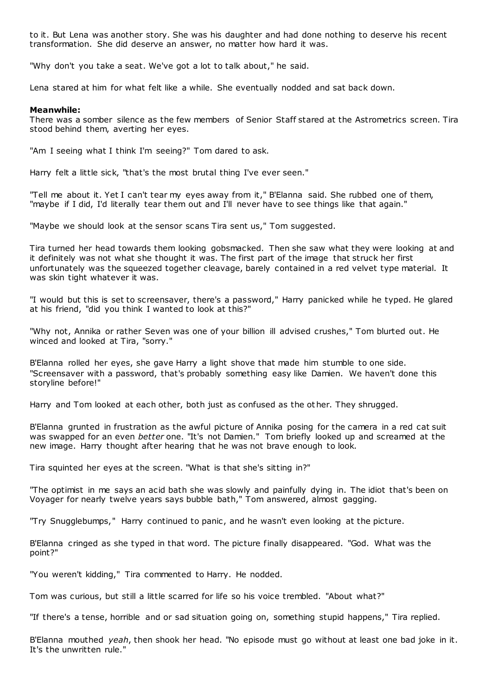to it. But Lena was another story. She was his daughter and had done nothing to deserve his recent transformation. She did deserve an answer, no matter how hard it was.

"Why don't you take a seat. We've got a lot to talk about," he said.

Lena stared at him for what felt like a while. She eventually nodded and sat back down.

#### **Meanwhile:**

There was a somber silence as the few members of Senior Staff stared at the Astrometrics screen. Tira stood behind them, averting her eyes.

"Am I seeing what I think I'm seeing?" Tom dared to ask.

Harry felt a little sick, "that's the most brutal thing I've ever seen."

"Tell me about it. Yet I can't tear my eyes away from it," B'Elanna said. She rubbed one of them, "maybe if I did, I'd literally tear them out and I'll never have to see things like that again."

"Maybe we should look at the sensor scans Tira sent us," Tom suggested.

Tira turned her head towards them looking gobsmacked. Then she saw what they were looking at and it definitely was not what she thought it was. The first part of the image that struck her first unfortunately was the squeezed together cleavage, barely contained in a red velvet type material. It was skin tight whatever it was.

"I would but this is set to screensaver, there's a password," Harry panicked while he typed. He glared at his friend, "did you think I wanted to look at this?"

"Why not, Annika or rather Seven was one of your billion ill advised crushes," Tom blurted out. He winced and looked at Tira, "sorry."

B'Elanna rolled her eyes, she gave Harry a light shove that made him stumble to one side. "Screensaver with a password, that's probably something easy like Damien. We haven't done this storyline before!"

Harry and Tom looked at each other, both just as confused as the ot her. They shrugged.

B'Elanna grunted in frustration as the awful picture of Annika posing for the camera in a red cat suit was swapped for an even *better* one. "It's not Damien." Tom briefly looked up and screamed at the new image. Harry thought after hearing that he was not brave enough to look.

Tira squinted her eyes at the screen. "What is that she's sitting in?"

"The optimist in me says an acid bath she was slowly and painfully dying in. The idiot that's been on Voyager for nearly twelve years says bubble bath," Tom answered, almost gagging.

"Try Snugglebumps," Harry continued to panic , and he wasn't even looking at the picture.

B'Elanna cringed as she typed in that word. The picture finally disappeared. "God. What was the point?"

"You weren't kidding," Tira commented to Harry. He nodded.

Tom was curious, but still a little scarred for life so his voice trembled. "About what?"

"If there's a tense, horrible and or sad situation going on, something stupid happens," Tira replied.

B'Elanna mouthed *yeah*, then shook her head. "No episode must go without at least one bad joke in it. It's the unwritten rule."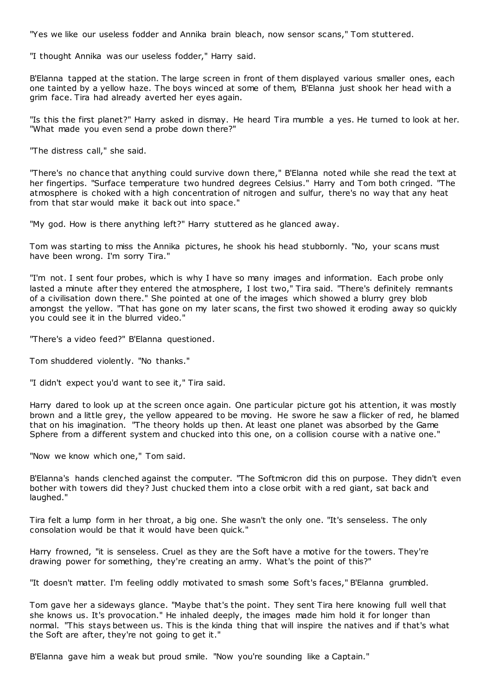"Yes we like our useless fodder and Annika brain bleach, now sensor scans," Tom stuttered.

"I thought Annika was our useless fodder," Harry said.

B'Elanna tapped at the station. The large screen in front of them displayed various smaller ones, each one tainted by a yellow haze. The boys winced at some of them, B'Elanna just shook her head with a grim face. Tira had already averted her eyes again.

"Is this the first planet?" Harry asked in dismay. He heard Tira mumble a yes. He turned to look at her. "What made you even send a probe down there?"

"The distress call," she said.

"There's no chance that anything could survive down there," B'Elanna noted while she read the text at her fingertips. "Surface temperature two hundred degrees Celsius." Harry and Tom both cringed. "The atmosphere is choked with a high concentration of nitrogen and sulfur, there's no way that any heat from that star would make it back out into space."

"My god. How is there anything left?" Harry stuttered as he glanced away.

Tom was starting to miss the Annika pictures, he shook his head stubbornly. "No, your scans must have been wrong. I'm sorry Tira."

"I'm not. I sent four probes, which is why I have so many images and information. Each probe only lasted a minute after they entered the atmosphere, I lost two," Tira said. "There's definitely remnants of a civilisation down there." She pointed at one of the images which showed a blurry grey blob amongst the yellow. "That has gone on my later scans, the first two showed it eroding away so quickly you could see it in the blurred video."

"There's a video feed?" B'Elanna questioned.

Tom shuddered violently. "No thanks."

"I didn't expect you'd want to see it," Tira said.

Harry dared to look up at the screen once again. One particular picture got his attention, it was mostly brown and a little grey, the yellow appeared to be moving. He swore he saw a flicker of red, he blamed that on his imagination. "The theory holds up then. At least one planet was absorbed by the Game Sphere from a different system and chucked into this one, on a collision course with a native one."

"Now we know which one," Tom said.

B'Elanna's hands clenched against the computer. "The Softmicron did this on purpose. They didn't even bother with towers did they? Just chucked them into a close orbit with a red giant, sat back and laughed."

Tira felt a lump form in her throat, a big one. She wasn't the only one. "It's senseless. The only consolation would be that it would have been quick."

Harry frowned, "it is senseless. Cruel as they are the Soft have a motive for the towers. They're drawing power for something, they're creating an army. What's the point of this?"

"It doesn't matter. I'm feeling oddly motivated to smash some Soft's faces," B'Elanna grumbled.

Tom gave her a sideways glance. "Maybe that's the point. They sent Tira here knowing full well that she knows us. It's provocation." He inhaled deeply, the images made him hold it for longer than normal. "This stays between us. This is the kinda thing that will inspire the natives and if that's what the Soft are after, they're not going to get it."

B'Elanna gave him a weak but proud smile. "Now you're sounding like a Captain."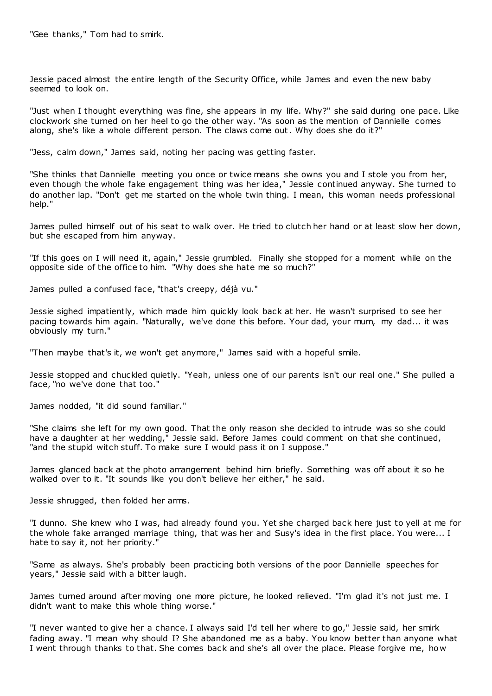"Gee thanks," Tom had to smirk.

Jessie paced almost the entire length of the Security Office, while James and even the new baby seemed to look on.

"Just when I thought everything was fine, she appears in my life. Why?" she said during one pace. Like clockwork she turned on her heel to go the other way. "As soon as the mention of Dannielle comes along, she's like a whole different person. The claws come out. Why does she do it?"

"Jess, calm down," James said, noting her pacing was getting faster.

"She thinks that Dannielle meeting you once or twice means she owns you and I stole you from her, even though the whole fake engagement thing was her idea," Jessie continued anyway. She turned to do another lap. "Don't get me started on the whole twin thing. I mean, this woman needs professional help."

James pulled himself out of his seat to walk over. He tried to clutch her hand or at least slow her down, but she escaped from him anyway.

"If this goes on I will need it, again," Jessie grumbled. Finally she stopped for a moment while on the opposite side of the office to him. "Why does she hate me so much?"

James pulled a confused face, "that's creepy, déjà vu."

Jessie sighed impatiently, which made him quickly look back at her. He wasn't surprised to see her pacing towards him again. "Naturally, we've done this before. Your dad, your mum, my dad... it was obviously my turn."

"Then maybe that's it, we won't get anymore," James said with a hopeful smile.

Jessie stopped and chuckled quietly. "Yeah, unless one of our parents isn't our real one." She pulled a face, "no we've done that too."

James nodded, "it did sound familiar."

"She claims she left for my own good. That the only reason she decided to intrude was so she could have a daughter at her wedding," Jessie said. Before James could comment on that she continued, "and the stupid witch stuff. To make sure I would pass it on I suppose."

James glanced back at the photo arrangement behind him briefly. Something was off about it so he walked over to it. "It sounds like you don't believe her either," he said.

Jessie shrugged, then folded her arms.

"I dunno. She knew who I was, had already found you. Yet she charged back here just to yell at me for the whole fake arranged marriage thing, that was her and Susy's idea in the first place. You were... I hate to say it, not her priority."

"Same as always. She's probably been practicing both versions of the poor Dannielle speeches for years," Jessie said with a bitter laugh.

James turned around after moving one more picture, he looked relieved. "I'm glad it's not just me. I didn't want to make this whole thing worse."

"I never wanted to give her a chance. I always said I'd tell her where to go," Jessie said, her smirk fading away. "I mean why should I? She abandoned me as a baby. You know better than anyone what I went through thanks to that. She comes back and she's all over the place. Please forgive me, ho w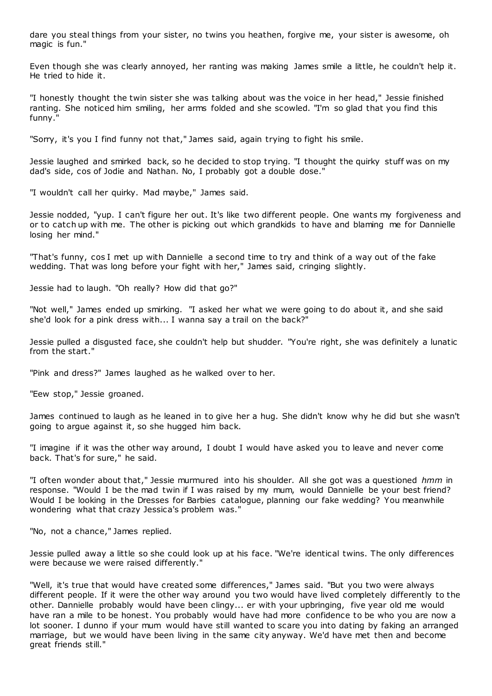dare you steal things from your sister, no twins you heathen, forgive me, your sister is awesome, oh magic is fun."

Even though she was clearly annoyed, her ranting was making James smile a little, he couldn't help it. He tried to hide it.

"I honestly thought the twin sister she was talking about was the voice in her head," Jessie finished ranting. She noticed him smiling, her arms folded and she scowled. "I'm so glad that you find this funny."

"Sorry, it's you I find funny not that," James said, again trying to fight his smile.

Jessie laughed and smirked back, so he decided to stop trying. "I thought the quirky stuff was on my dad's side, cos of Jodie and Nathan. No, I probably got a double dose."

"I wouldn't call her quirky. Mad maybe," James said.

Jessie nodded, "yup. I can't figure her out. It's like two different people. One wants my forgiveness and or to catch up with me. The other is picking out which grandkids to have and blaming me for Dannielle losing her mind."

"That's funny, cos I met up with Dannielle a second time to try and think of a way out of the fake wedding. That was long before your fight with her," James said, cringing slightly.

Jessie had to laugh. "Oh really? How did that go?"

"Not well," James ended up smirking. "I asked her what we were going to do about it, and she said she'd look for a pink dress with... I wanna say a trail on the back?"

Jessie pulled a disgusted face, she couldn't help but shudder. "You're right, she was definitely a lunatic from the start."

"Pink and dress?" James laughed as he walked over to her.

"Eew stop," Jessie groaned.

James continued to laugh as he leaned in to give her a hug. She didn't know why he did but she wasn't going to argue against it, so she hugged him back.

"I imagine if it was the other way around, I doubt I would have asked you to leave and never come back. That's for sure," he said.

"I often wonder about that," Jessie murmured into his shoulder. All she got was a questioned *hmm* in response. "Would I be the mad twin if I was raised by my mum, would Dannielle be your best friend? Would I be looking in the Dresses for Barbies catalogue, planning our fake wedding? You meanwhile wondering what that crazy Jessica's problem was."

"No, not a chance," James replied.

Jessie pulled away a little so she could look up at his face. "We're identical twins. The only differences were because we were raised differently."

"Well, it's true that would have created some differences," James said. "But you two were always different people. If it were the other way around you two would have lived completely differently to the other. Dannielle probably would have been clingy... er with your upbringing, five year old me would have ran a mile to be honest. You probably would have had more confidence to be who you are now a lot sooner. I dunno if your mum would have still wanted to scare you into dating by faking an arranged marriage, but we would have been living in the same city anyway. We'd have met then and become great friends still."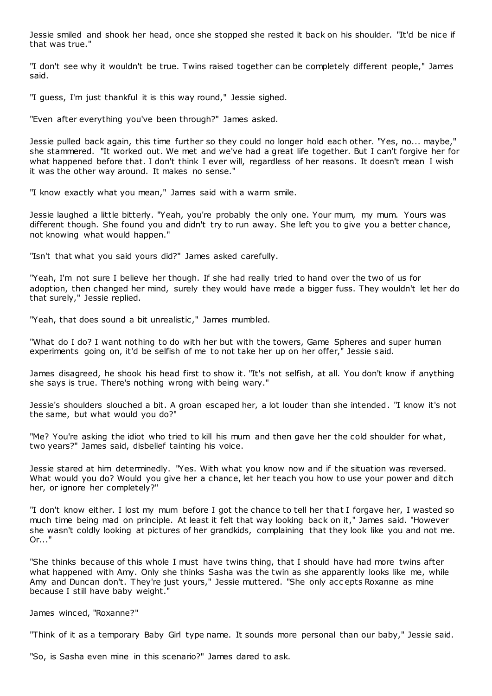Jessie smiled and shook her head, once she stopped she rested it back on his shoulder. "It'd be nice if that was true."

"I don't see why it wouldn't be true. Twins raised together can be completely different people," James said.

"I guess, I'm just thankful it is this way round," Jessie sighed.

"Even after everything you've been through?" James asked.

Jessie pulled back again, this time further so they could no longer hold each other. "Yes, no... maybe," she stammered. "It worked out. We met and we've had a great life together. But I can't forgive her for what happened before that. I don't think I ever will, regardless of her reasons. It doesn't mean I wish it was the other way around. It makes no sense."

"I know exactly what you mean," James said with a warm smile.

Jessie laughed a little bitterly. "Yeah, you're probably the only one. Your mum, my mum. Yours was different though. She found you and didn't try to run away. She left you to give you a better chance, not knowing what would happen."

"Isn't that what you said yours did?" James asked carefully.

"Yeah, I'm not sure I believe her though. If she had really tried to hand over the two of us for adoption, then changed her mind, surely they would have made a bigger fuss. They wouldn't let her do that surely," Jessie replied.

"Yeah, that does sound a bit unrealistic ," James mumbled.

"What do I do? I want nothing to do with her but with the towers, Game Spheres and super human experiments going on, it'd be selfish of me to not take her up on her offer," Jessie said.

James disagreed, he shook his head first to show it. "It's not selfish, at all. You don't know if anything she says is true. There's nothing wrong with being wary."

Jessie's shoulders slouched a bit. A groan escaped her, a lot louder than she intended. "I know it's not the same, but what would you do?"

"Me? You're asking the idiot who tried to kill his mum and then gave her the cold shoulder for what, two years?" James said, disbelief tainting his voice.

Jessie stared at him determinedly. "Yes. With what you know now and if the situation was reversed. What would you do? Would you give her a chance, let her teach you how to use your power and ditch her, or ignore her completely?"

"I don't know either. I lost my mum before I got the chance to tell her that I forgave her, I wasted so much time being mad on principle. At least it felt that way looking back on it," James said. "However she wasn't coldly looking at pictures of her grandkids, complaining that they look like you and not me. Or..."

"She thinks because of this whole I must have twins thing, that I should have had more twins after what happened with Amy. Only she thinks Sasha was the twin as she apparently looks like me, while Amy and Duncan don't. They're just yours," Jessie muttered. "She only acc epts Roxanne as mine because I still have baby weight."

James winced, "Roxanne?"

"Think of it as a temporary Baby Girl type name. It sounds more personal than our baby," Jessie said.

"So, is Sasha even mine in this scenario?" James dared to ask.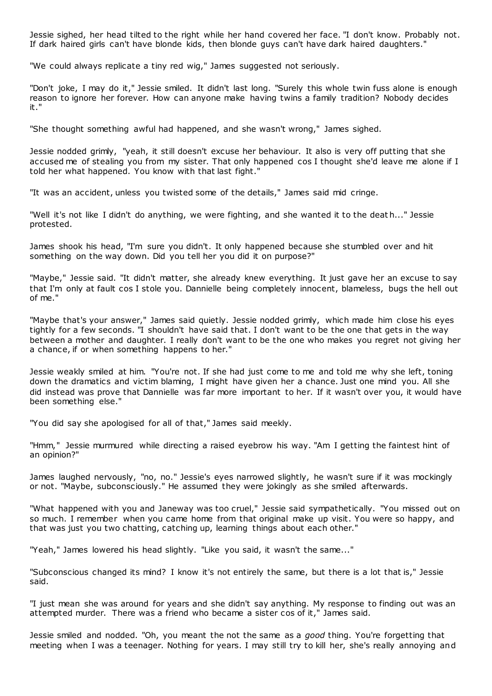Jessie sighed, her head tilted to the right while her hand covered her face. "I don't know. Probably not. If dark haired girls can't have blonde kids, then blonde guys can't have dark haired daughters."

"We could always replicate a tiny red wig," James suggested not seriously.

"Don't joke, I may do it," Jessie smiled. It didn't last long. "Surely this whole twin fuss alone is enough reason to ignore her forever. How can anyone make having twins a family tradition? Nobody decides it."

"She thought something awful had happened, and she wasn't wrong," James sighed.

Jessie nodded grimly, "yeah, it still doesn't excuse her behaviour. It also is very off putting that she accused me of stealing you from my sister. That only happened cos I thought she'd leave me alone if I told her what happened. You know with that last fight."

"It was an accident, unless you twisted some of the details," James said mid cringe.

"Well it's not like I didn't do anything, we were fighting, and she wanted it to the deat h..." Jessie protested.

James shook his head, "I'm sure you didn't. It only happened because she stumbled over and hit something on the way down. Did you tell her you did it on purpose?"

"Maybe," Jessie said. "It didn't matter, she already knew everything. It just gave her an excuse to say that I'm only at fault cos I stole you. Dannielle being completely innocent, blameless, bugs the hell out of me."

"Maybe that's your answer," James said quietly. Jessie nodded grimly, which made him close his eyes tightly for a few seconds. "I shouldn't have said that. I don't want to be the one that gets in the way between a mother and daughter. I really don't want to be the one who makes you regret not giving her a chance, if or when something happens to her."

Jessie weakly smiled at him. "You're not. If she had just come to me and told me why she left, toning down the dramatics and victim blaming, I might have given her a chance. Just one mind you. All she did instead was prove that Dannielle was far more important to her. If it wasn't over you, it would have been something else."

"You did say she apologised for all of that," James said meekly.

"Hmm," Jessie murmured while directing a raised eyebrow his way. "Am I getting the faintest hint of an opinion?"

James laughed nervously, "no, no." Jessie's eyes narrowed slightly, he wasn't sure if it was mockingly or not. "Maybe, subconsciously." He assumed they were jokingly as she smiled afterwards.

"What happened with you and Janeway was too cruel," Jessie said sympathetically. "You missed out on so much. I remember when you came home from that original make up visit. You were so happy, and that was just you two chatting, catching up, learning things about each other."

"Yeah," James lowered his head slightly. "Like you said, it wasn't the same..."

"Subconscious changed its mind? I know it's not entirely the same, but there is a lot that is," Jessie said.

"I just mean she was around for years and she didn't say anything. My response to finding out was an attempted murder. There was a friend who became a sister cos of it," James said.

Jessie smiled and nodded. "Oh, you meant the not the same as a *good* thing. You're forgetting that meeting when I was a teenager. Nothing for years. I may still try to kill her, she's really annoying and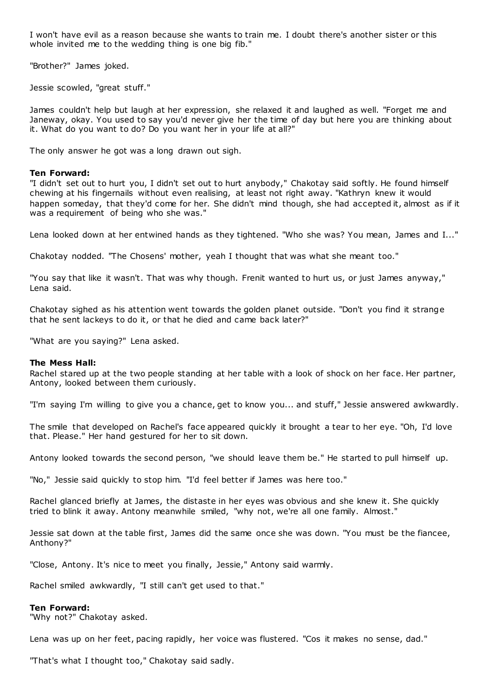I won't have evil as a reason because she wants to train me. I doubt there's another sister or this whole invited me to the wedding thing is one big fib."

"Brother?" James joked.

Jessie scowled, "great stuff."

James couldn't help but laugh at her expression, she relaxed it and laughed as well. "Forget me and Janeway, okay. You used to say you'd never give her the time of day but here you are thinking about it. What do you want to do? Do you want her in your life at all?"

The only answer he got was a long drawn out sigh.

#### **Ten Forward:**

"I didn't set out to hurt you, I didn't set out to hurt anybody," Chakotay said softly. He found himself chewing at his fingernails without even realising, at least not right away. "Kathryn knew it would happen someday, that they'd come for her. She didn't mind though, she had accepted it, almost as if it was a requirement of being who she was."

Lena looked down at her entwined hands as they tightened. "Who she was? You mean, James and I..."

Chakotay nodded. "The Chosens' mother, yeah I thought that was what she meant too."

"You say that like it wasn't. That was why though. Frenit wanted to hurt us, or just James anyway," Lena said.

Chakotay sighed as his attention went towards the golden planet outside. "Don't you find it strange that he sent lackeys to do it, or that he died and came back later?"

"What are you saying?" Lena asked.

#### **The Mess Hall:**

Rachel stared up at the two people standing at her table with a look of shock on her face. Her partner, Antony, looked between them curiously.

"I'm saying I'm willing to give you a chance, get to know you... and stuff," Jessie answered awkwardly.

The smile that developed on Rachel's face appeared quickly it brought a tear to her eye. "Oh, I'd love that. Please." Her hand gestured for her to sit down.

Antony looked towards the second person, "we should leave them be." He started to pull himself up.

"No," Jessie said quickly to stop him. "I'd feel better if James was here too."

Rachel glanced briefly at James, the distaste in her eyes was obvious and she knew it. She quickly tried to blink it away. Antony meanwhile smiled, "why not, we're all one family. Almost."

Jessie sat down at the table first, James did the same once she was down. "You must be the fiancee, Anthony?"

"Close, Antony. It's nice to meet you finally, Jessie," Antony said warmly.

Rachel smiled awkwardly, "I still can't get used to that."

#### **Ten Forward:**

"Why not?" Chakotay asked.

Lena was up on her feet, pacing rapidly, her voice was flustered. "Cos it makes no sense, dad."

"That's what I thought too," Chakotay said sadly.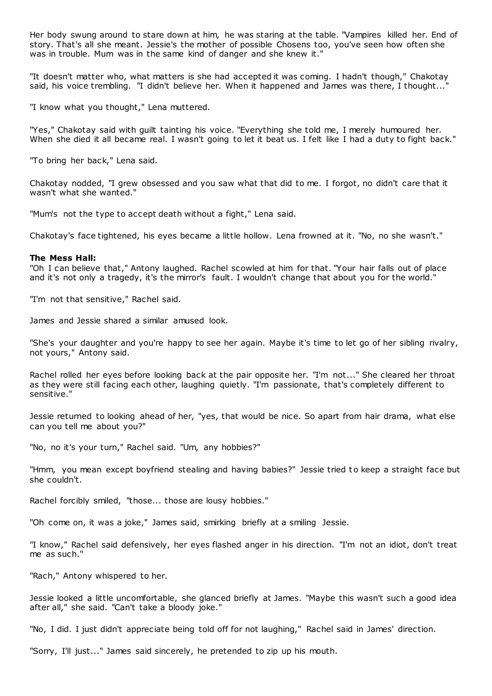Her body swung around to stare down at him, he was staring at the table. "Vampires killed her. End of story. That's all she meant. Jessie's the mother of possible Chosens too, you've seen how often she was in trouble. Mum was in the same kind of danger and she knew it."

"It doesn't matter who, what matters is she had accepted it was coming. I hadn't though," Chakotay said, his voice trembling. "I didn't believe her. When it happened and James was there, I thought..."

"I know what you thought," Lena muttered.

"Yes," Chakotay said with guilt tainting his voice. "Everything she told me, I merely humoured her. When she died it all became real. I wasn't going to let it beat us. I felt like I had a duty to fight back."

"To bring her back," Lena said.

Chakotay nodded, "I grew obsessed and you saw what that did to me. I forgot, no didn't care that it wasn't what she wanted."

"Mum's not the type to accept death without a fight," Lena said.

Chakotay's face tightened, his eyes became a little hollow. Lena frowned at it. "No, no she wasn't."

#### **The Mess Hall:**

"Oh I can believe that," Antony laughed. Rachel scowled at him for that. "Your hair falls out of place and it's not only a tragedy, it's the mirror's fault. I wouldn't change that about you for the world."

"I'm not that sensitive," Rachel said.

James and Jessie shared a similar amused look.

"She's your daughter and you're happy to see her again. Maybe it's time to let go of her sibling rivalry, not yours," Antony said.

Rachel rolled her eyes before looking back at the pair opposite her. "I'm not..." She cleared her throat as they were still facing each other, laughing quietly. "I'm passionate, that's completely different to sensitive."

Jessie returned to looking ahead of her, "yes, that would be nice. So apart from hair drama, what else can you tell me about you?"

"No, no it's your turn," Rachel said. "Um, any hobbies?"

"Hmm, you mean except boyfriend stealing and having babies?" Jessie tried to keep a straight face but she couldn't.

Rachel forcibly smiled, "those... those are lousy hobbies."

"Oh come on, it was a joke," James said, smirking briefly at a smiling Jessie.

"I know," Rachel said defensively, her eyes flashed anger in his direction. "I'm not an idiot, don't treat me as such."

"Rach," Antony whispered to her.

Jessie looked a little uncomfortable, she glanced briefly at James. "Maybe this wasn't such a good idea after all," she said. "Can't take a bloody joke."

"No, I did. I just didn't appreciate being told off for not laughing," Rachel said in James' direction.

"Sorry, I'll just..." James said sincerely, he pretended to zip up his mouth.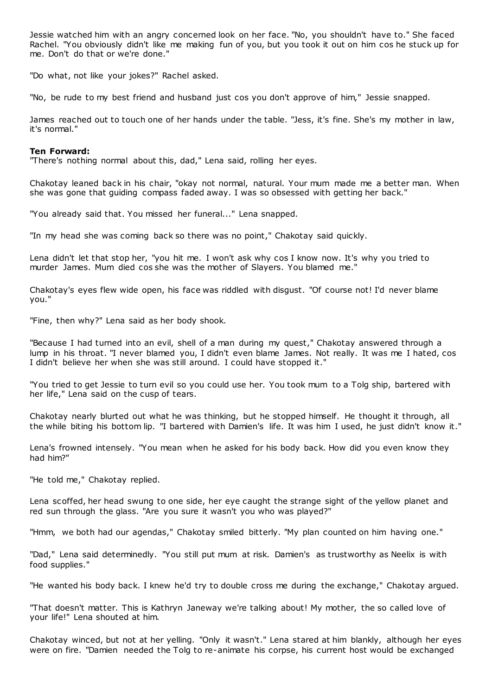Jessie watched him with an angry concerned look on her face. "No, you shouldn't have to." She faced Rachel. "You obviously didn't like me making fun of you, but you took it out on him cos he stuck up for me. Don't do that or we're done."

"Do what, not like your jokes?" Rachel asked.

"No, be rude to my best friend and husband just cos you don't approve of him," Jessie snapped.

James reached out to touch one of her hands under the table. "Jess, it's fine. She's my mother in law, it's normal."

# **Ten Forward:**

"There's nothing normal about this, dad," Lena said, rolling her eyes.

Chakotay leaned back in his chair, "okay not normal, natural. Your mum made me a better man. When she was gone that guiding compass faded away. I was so obsessed with getting her back."

"You already said that. You missed her funeral..." Lena snapped.

"In my head she was coming back so there was no point," Chakotay said quickly.

Lena didn't let that stop her, "you hit me. I won't ask why cos I know now. It's why you tried to murder James. Mum died cos she was the mother of Slayers. You blamed me."

Chakotay's eyes flew wide open, his face was riddled with disgust. "Of course not! I'd never blame you."

"Fine, then why?" Lena said as her body shook.

"Because I had turned into an evil, shell of a man during my quest," Chakotay answered through a lump in his throat. "I never blamed you, I didn't even blame James. Not really. It was me I hated, cos I didn't believe her when she was still around. I could have stopped it."

"You tried to get Jessie to turn evil so you could use her. You took mum to a Tolg ship, bartered with her life," Lena said on the cusp of tears.

Chakotay nearly blurted out what he was thinking, but he stopped himself. He thought it through, all the while biting his bottom lip. "I bartered with Damien's life. It was him I used, he just didn't know it."

Lena's frowned intensely. "You mean when he asked for his body back. How did you even know they had him?"

"He told me," Chakotay replied.

Lena scoffed, her head swung to one side, her eye caught the strange sight of the yellow planet and red sun through the glass. "Are you sure it wasn't you who was played?"

"Hmm, we both had our agendas," Chakotay smiled bitterly. "My plan counted on him having one."

"Dad," Lena said determinedly. "You still put mum at risk. Damien's as trustworthy as Neelix is with food supplies."

"He wanted his body back. I knew he'd try to double cross me during the exchange," Chakotay argued.

"That doesn't matter. This is Kathryn Janeway we're talking about! My mother, the so called love of your life!" Lena shouted at him.

Chakotay winced, but not at her yelling. "Only it wasn't." Lena stared at him blankly, although her eyes were on fire. "Damien needed the Tolg to re-animate his corpse, his current host would be exchanged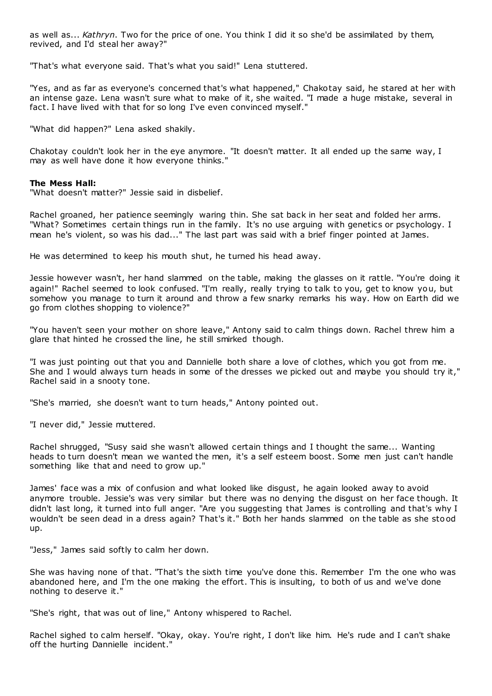as well as... *Kathryn*. Two for the price of one. You think I did it so she'd be assimilated by them, revived, and I'd steal her away?"

"That's what everyone said. That's what you said!" Lena stuttered.

"Yes, and as far as everyone's concerned that's what happened," Chakotay said, he stared at her with an intense gaze. Lena wasn't sure what to make of it, she waited. "I made a huge mistake, several in fact. I have lived with that for so long I've even convinced myself."

"What did happen?" Lena asked shakily.

Chakotay couldn't look her in the eye anymore. "It doesn't matter. It all ended up the same way, I may as well have done it how everyone thinks."

# **The Mess Hall:**

"What doesn't matter?" Jessie said in disbelief.

Rachel groaned, her patience seemingly waring thin. She sat back in her seat and folded her arms. "What? Sometimes certain things run in the family. It's no use arguing with genetics or psychology. I mean he's violent, so was his dad..." The last part was said with a brief finger pointed at James.

He was determined to keep his mouth shut, he turned his head away.

Jessie however wasn't, her hand slammed on the table, making the glasses on it rattle. "You're doing it again!" Rachel seemed to look confused. "I'm really, really trying to talk to you, get to know you, but somehow you manage to turn it around and throw a few snarky remarks his way. How on Earth did we go from clothes shopping to violence?"

"You haven't seen your mother on shore leave," Antony said to calm things down. Rachel threw him a glare that hinted he crossed the line, he still smirked though.

"I was just pointing out that you and Dannielle both share a love of clothes, which you got from me. She and I would always turn heads in some of the dresses we picked out and maybe you should try it," Rachel said in a snooty tone.

"She's married, she doesn't want to turn heads," Antony pointed out.

"I never did," Jessie muttered.

Rachel shrugged, "Susy said she wasn't allowed certain things and I thought the same... Wanting heads to turn doesn't mean we wanted the men, it's a self esteem boost. Some men just can't handle something like that and need to grow up."

James' face was a mix of confusion and what looked like disgust, he again looked away to avoid anymore trouble. Jessie's was very similar but there was no denying the disgust on her face though. It didn't last long, it turned into full anger. "Are you suggesting that James is controlling and that's why I wouldn't be seen dead in a dress again? That's it." Both her hands slammed on the table as she stood up.

"Jess," James said softly to calm her down.

She was having none of that. "That's the sixth time you've done this. Remember I'm the one who was abandoned here, and I'm the one making the effort. This is insulting, to both of us and we've done nothing to deserve it."

"She's right, that was out of line," Antony whispered to Rachel.

Rachel sighed to calm herself. "Okay, okay. You're right, I don't like him. He's rude and I can't shake off the hurting Dannielle incident."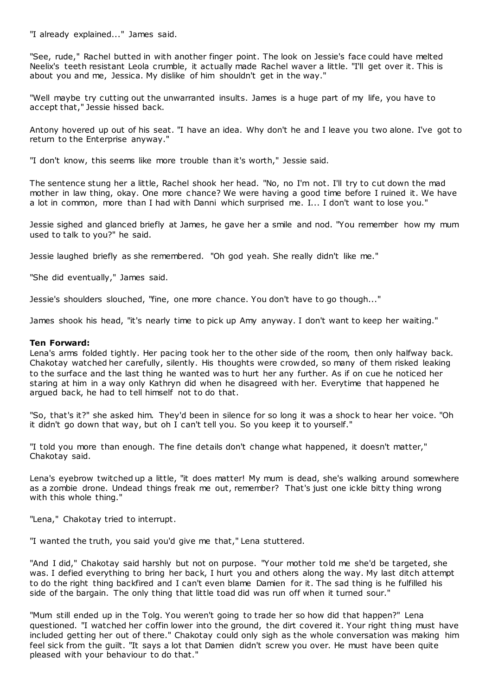"I already explained..." James said.

"See, rude," Rachel butted in with another finger point. The look on Jessie's face could have melted Neelix's teeth resistant Leola crumble, it actually made Rachel waver a little. "I'll get over it. This is about you and me, Jessica. My dislike of him shouldn't get in the way."

"Well maybe try cutting out the unwarranted insults. James is a huge part of my life, you have to accept that," Jessie hissed back.

Antony hovered up out of his seat. "I have an idea. Why don't he and I leave you two alone. I've got to return to the Enterprise anyway."

"I don't know, this seems like more trouble than it's worth," Jessie said.

The sentence stung her a little, Rachel shook her head. "No, no I'm not. I'll try to cut down the mad mother in law thing, okay. One more chance? We were having a good time before I ruined it. We have a lot in common, more than I had with Danni which surprised me. I... I don't want to lose you."

Jessie sighed and glanced briefly at James, he gave her a smile and nod. "You remember how my mum used to talk to you?" he said.

Jessie laughed briefly as she remembered. "Oh god yeah. She really didn't like me."

"She did eventually," James said.

Jessie's shoulders slouched, "fine, one more chance. You don't have to go though..."

James shook his head, "it's nearly time to pick up Amy anyway. I don't want to keep her waiting."

#### **Ten Forward:**

Lena's arms folded tightly. Her pacing took her to the other side of the room, then only halfway back. Chakotay watched her carefully, silently. His thoughts were crowded, so many of them risked leaking to the surface and the last thing he wanted was to hurt her any further. As if on cue he noticed her staring at him in a way only Kathryn did when he disagreed with her. Everytime that happened he argued back, he had to tell himself not to do that.

"So, that's it?" she asked him. They'd been in silence for so long it was a shock to hear her voice. "Oh it didn't go down that way, but oh I can't tell you. So you keep it to yourself."

"I told you more than enough. The fine details don't change what happened, it doesn't matter," Chakotay said.

Lena's eyebrow twitched up a little, "it does matter! My mum is dead, she's walking around somewhere as a zombie drone. Undead things freak me out, remember? That's just one ickle bitty thing wrong with this whole thing."

"Lena," Chakotay tried to interrupt.

"I wanted the truth, you said you'd give me that," Lena stuttered.

"And I did," Chakotay said harshly but not on purpose. "Your mother told me she'd be targeted, she was. I defied everything to bring her back, I hurt you and others along the way. My last ditch attempt to do the right thing backfired and I can't even blame Damien for it. The sad thing is he fulfilled his side of the bargain. The only thing that little toad did was run off when it turned sour."

"Mum still ended up in the Tolg. You weren't going to trade her so how did that happen?" Lena questioned. "I watched her coffin lower into the ground, the dirt covered it. Your right thing must have included getting her out of there." Chakotay could only sigh as the whole conversation was making him feel sick from the guilt. "It says a lot that Damien didn't screw you over. He must have been quite pleased with your behaviour to do that."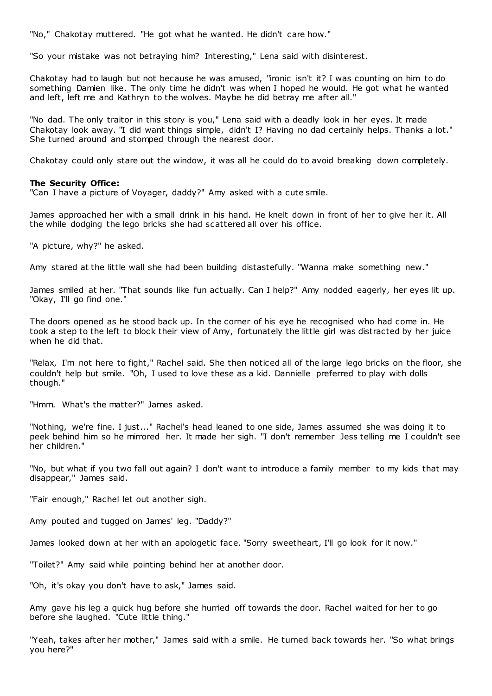"No," Chakotay muttered. "He got what he wanted. He didn't care how."

"So your mistake was not betraying him? Interesting," Lena said with disinterest.

Chakotay had to laugh but not because he was amused, "ironic isn't it? I was counting on him to do something Damien like. The only time he didn't was when I hoped he would. He got what he wanted and left, left me and Kathryn to the wolves. Maybe he did betray me after all."

"No dad. The only traitor in this story is you," Lena said with a deadly look in her eyes. It made Chakotay look away. "I did want things simple, didn't I? Having no dad certainly helps. Thanks a lot." She turned around and stomped through the nearest door.

Chakotay could only stare out the window, it was all he could do to avoid breaking down completely.

#### **The Security Office:**

"Can I have a picture of Voyager, daddy?" Amy asked with a cute smile.

James approached her with a small drink in his hand. He knelt down in front of her to give her it. All the while dodging the lego bricks she had scattered all over his office.

"A picture, why?" he asked.

Amy stared at the little wall she had been building distastefully. "Wanna make something new."

James smiled at her. "That sounds like fun actually. Can I help?" Amy nodded eagerly, her eyes lit up. "Okay, I'll go find one."

The doors opened as he stood back up. In the corner of his eye he recognised who had come in. He took a step to the left to block their view of Amy, fortunately the little girl was distracted by her juice when he did that.

"Relax, I'm not here to fight," Rachel said. She then noticed all of the large lego bricks on the floor, she couldn't help but smile. "Oh, I used to love these as a kid. Dannielle preferred to play with dolls though."

"Hmm. What's the matter?" James asked.

"Nothing, we're fine. I just..." Rachel's head leaned to one side, James assumed she was doing it to peek behind him so he mirrored her. It made her sigh. "I don't remember Jess telling me I couldn't see her children."

"No, but what if you two fall out again? I don't want to introduce a family member to my kids that may disappear," James said.

"Fair enough," Rachel let out another sigh.

Amy pouted and tugged on James' leg. "Daddy?"

James looked down at her with an apologetic face. "Sorry sweetheart, I'll go look for it now."

"Toilet?" Amy said while pointing behind her at another door.

"Oh, it's okay you don't have to ask," James said.

Amy gave his leg a quick hug before she hurried off towards the door. Rachel waited for her to go before she laughed. "Cute little thing."

"Yeah, takes after her mother," James said with a smile. He turned back towards her. "So what brings you here?"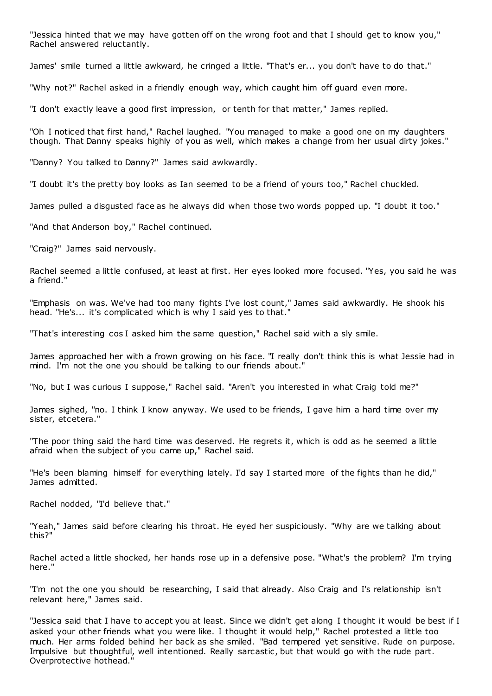"Jessica hinted that we may have gotten off on the wrong foot and that I should get to know you," Rachel answered reluctantly.

James' smile turned a little awkward, he cringed a little. "That's er... you don't have to do that."

"Why not?" Rachel asked in a friendly enough way, which caught him off guard even more.

"I don't exactly leave a good first impression, or tenth for that matter," James replied.

"Oh I noticed that first hand," Rachel laughed. "You managed to make a good one on my daughters though. That Danny speaks highly of you as well, which makes a change from her usual dirty jokes."

"Danny? You talked to Danny?" James said awkwardly.

"I doubt it's the pretty boy looks as Ian seemed to be a friend of yours too," Rachel chuckled.

James pulled a disgusted face as he always did when those two words popped up. "I doubt it too."

"And that Anderson boy," Rachel continued.

"Craig?" James said nervously.

Rachel seemed a little confused, at least at first. Her eyes looked more focused. "Yes, you said he was a friend."

"Emphasis on was. We've had too many fights I've lost count," James said awkwardly. He shook his head. "He's... it's complicated which is why I said yes to that."

"That's interesting cos I asked him the same question," Rachel said with a sly smile.

James approached her with a frown growing on his face. "I really don't think this is what Jessie had in mind. I'm not the one you should be talking to our friends about."

"No, but I was curious I suppose," Rachel said. "Aren't you interested in what Craig told me?"

James sighed, "no. I think I know anyway. We used to be friends, I gave him a hard time over my sister, etcetera."

"The poor thing said the hard time was deserved. He regrets it, which is odd as he seemed a little afraid when the subject of you came up," Rachel said.

"He's been blaming himself for everything lately. I'd say I started more of the fights than he did," James admitted.

Rachel nodded, "I'd believe that."

"Yeah," James said before clearing his throat. He eyed her suspiciously. "Why are we talking about this?"

Rachel acted a little shocked, her hands rose up in a defensive pose. "What's the problem? I'm trying here."

"I'm not the one you should be researching, I said that already. Also Craig and I's relationship isn't relevant here," James said.

"Jessica said that I have to accept you at least. Since we didn't get along I thought it would be best if I asked your other friends what you were like. I thought it would help," Rachel protested a little too much. Her arms folded behind her back as she smiled. "Bad tempered yet sensitive. Rude on purpose. Impulsive but thoughtful, well intentioned. Really sarcastic , but that would go with the rude part. Overprotective hothead."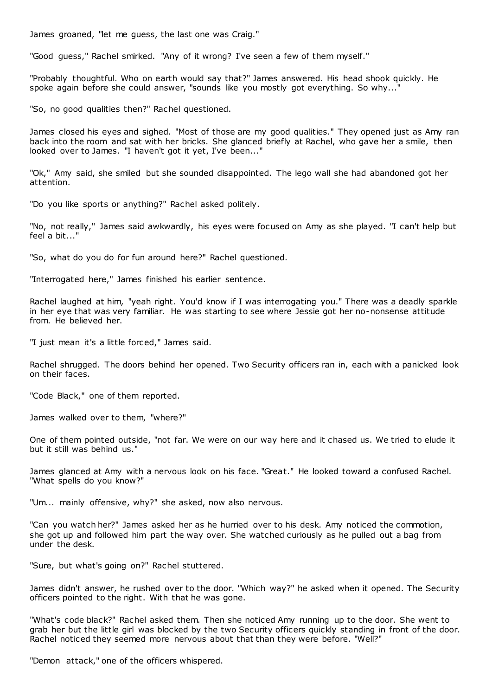James groaned, "let me guess, the last one was Craig."

"Good guess," Rachel smirked. "Any of it wrong? I've seen a few of them myself."

"Probably thoughtful. Who on earth would say that?" James answered. His head shook quickly. He spoke again before she could answer, "sounds like you mostly got everything. So why..."

"So, no good qualities then?" Rachel questioned.

James closed his eyes and sighed. "Most of those are my good qualities." They opened just as Amy ran back into the room and sat with her bricks. She glanced briefly at Rachel, who gave her a smile, then looked over to James. "I haven't got it yet, I've been..."

"Ok," Amy said, she smiled but she sounded disappointed. The lego wall she had abandoned got her attention.

"Do you like sports or anything?" Rachel asked politely.

"No, not really," James said awkwardly, his eyes were focused on Amy as she played. "I can't help but feel a bit..."

"So, what do you do for fun around here?" Rachel questioned.

"Interrogated here," James finished his earlier sentence.

Rachel laughed at him, "yeah right. You'd know if I was interrogating you." There was a deadly sparkle in her eye that was very familiar. He was starting to see where Jessie got her no-nonsense attitude from. He believed her.

"I just mean it's a little forced," James said.

Rachel shrugged. The doors behind her opened. Two Security officers ran in, each with a panicked look on their faces.

"Code Black," one of them reported.

James walked over to them, "where?"

One of them pointed outside, "not far. We were on our way here and it chased us. We tried to elude it but it still was behind us."

James glanced at Amy with a nervous look on his face. "Great." He looked toward a confused Rachel. "What spells do you know?"

"Um... mainly offensive, why?" she asked, now also nervous.

"Can you watch her?" James asked her as he hurried over to his desk. Amy noticed the commotion, she got up and followed him part the way over. She watched curiously as he pulled out a bag from under the desk.

"Sure, but what's going on?" Rachel stuttered.

James didn't answer, he rushed over to the door. "Which way?" he asked when it opened. The Security officers pointed to the right. With that he was gone.

"What's code black?" Rachel asked them. Then she noticed Amy running up to the door. She went to grab her but the little girl was blocked by the two Security officers quickly standing in front of the door. Rachel noticed they seemed more nervous about that than they were before. "Well?"

"Demon attack," one of the officers whispered.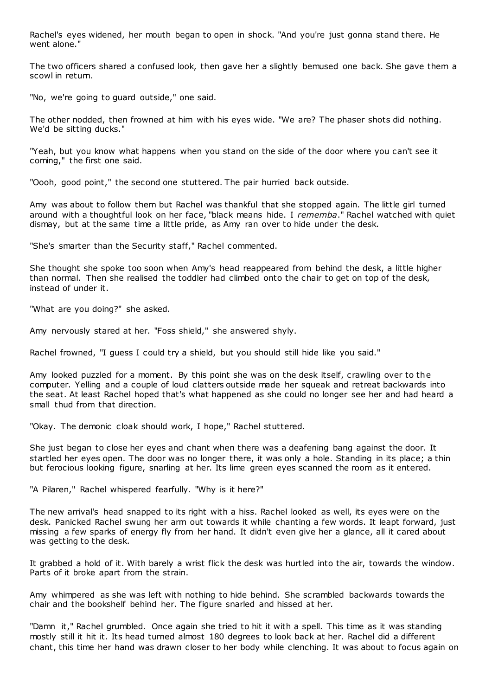Rachel's eyes widened, her mouth began to open in shock. "And you're just gonna stand there. He went alone."

The two officers shared a confused look, then gave her a slightly bemused one back. She gave them a scowl in return.

"No, we're going to guard outside," one said.

The other nodded, then frowned at him with his eyes wide. "We are? The phaser shots did nothing. We'd be sitting ducks."

"Yeah, but you know what happens when you stand on the side of the door where you can't see it coming," the first one said.

"Oooh, good point," the second one stuttered. The pair hurried back outside.

Amy was about to follow them but Rachel was thankful that she stopped again. The little girl turned around with a thoughtful look on her face, "black means hide. I *rememba*." Rachel watched with quiet dismay, but at the same time a little pride, as Amy ran over to hide under the desk.

"She's smarter than the Security staff," Rachel commented.

She thought she spoke too soon when Amy's head reappeared from behind the desk, a little higher than normal. Then she realised the toddler had climbed onto the chair to get on top of the desk, instead of under it.

"What are you doing?" she asked.

Amy nervously stared at her. "Foss shield," she answered shyly.

Rachel frowned, "I guess I could try a shield, but you should still hide like you said."

Amy looked puzzled for a moment. By this point she was on the desk itself, crawling over to the computer. Yelling and a couple of loud clatters outside made her squeak and retreat backwards into the seat. At least Rachel hoped that's what happened as she could no longer see her and had heard a small thud from that direction.

"Okay. The demonic cloak should work, I hope," Rachel stuttered.

She just began to close her eyes and chant when there was a deafening bang against the door. It startled her eyes open. The door was no longer there, it was only a hole. Standing in its place; a thin but ferocious looking figure, snarling at her. Its lime green eyes scanned the room as it entered.

"A Pilaren," Rachel whispered fearfully. "Why is it here?"

The new arrival's head snapped to its right with a hiss. Rachel looked as well, its eyes were on the desk. Panicked Rachel swung her arm out towards it while chanting a few words. It leapt forward, just missing a few sparks of energy fly from her hand. It didn't even give her a glance, all it cared about was getting to the desk.

It grabbed a hold of it. With barely a wrist flick the desk was hurtled into the air, towards the window. Parts of it broke apart from the strain.

Amy whimpered as she was left with nothing to hide behind. She scrambled backwards towards the chair and the bookshelf behind her. The figure snarled and hissed at her.

"Damn it," Rachel grumbled. Once again she tried to hit it with a spell. This time as it was standing mostly still it hit it. Its head turned almost 180 degrees to look back at her. Rachel did a different chant, this time her hand was drawn closer to her body while clenching. It was about to focus again on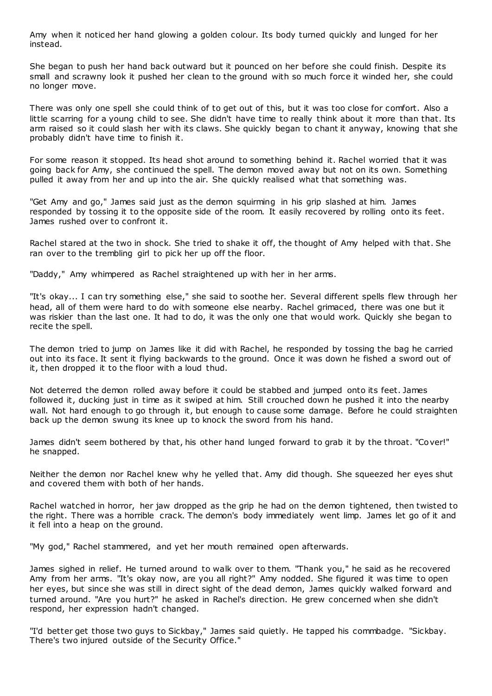Amy when it noticed her hand glowing a golden colour. Its body turned quickly and lunged for her instead.

She began to push her hand back outward but it pounced on her before she could finish. Despite its small and scrawny look it pushed her clean to the ground with so much force it winded her, she could no longer move.

There was only one spell she could think of to get out of this, but it was too close for comfort. Also a little scarring for a young child to see. She didn't have time to really think about it more than that. Its arm raised so it could slash her with its claws. She quickly began to chant it anyway, knowing that she probably didn't have time to finish it.

For some reason it stopped. Its head shot around to something behind it. Rachel worried that it was going back for Amy, she continued the spell. The demon moved away but not on its own. Something pulled it away from her and up into the air. She quickly realised what that something was.

"Get Amy and go," James said just as the demon squirming in his grip slashed at him. James responded by tossing it to the opposite side of the room. It easily recovered by rolling onto its feet. James rushed over to confront it.

Rachel stared at the two in shock. She tried to shake it off, the thought of Amy helped with that. She ran over to the trembling girl to pick her up off the floor.

"Daddy," Amy whimpered as Rachel straightened up with her in her arms.

"It's okay... I can try something else," she said to soothe her. Several different spells flew through her head, all of them were hard to do with someone else nearby. Rachel grimaced, there was one but it was riskier than the last one. It had to do, it was the only one that would work. Quickly she began to recite the spell.

The demon tried to jump on James like it did with Rachel, he responded by tossing the bag he carried out into its face. It sent it flying backwards to the ground. Once it was down he fished a sword out of it, then dropped it to the floor with a loud thud.

Not deterred the demon rolled away before it could be stabbed and jumped onto its feet. James followed it, ducking just in time as it swiped at him. Still crouched down he pushed it into the nearby wall. Not hard enough to go through it, but enough to cause some damage. Before he could straighten back up the demon swung its knee up to knock the sword from his hand.

James didn't seem bothered by that, his other hand lunged forward to grab it by the throat. "Cover!" he snapped.

Neither the demon nor Rachel knew why he yelled that. Amy did though. She squeezed her eyes shut and covered them with both of her hands.

Rachel watched in horror, her jaw dropped as the grip he had on the demon tightened, then twisted to the right. There was a horrible crack. The demon's body immediately went limp. James let go of it and it fell into a heap on the ground.

"My god," Rachel stammered, and yet her mouth remained open afterwards.

James sighed in relief. He turned around to walk over to them. "Thank you," he said as he recovered Amy from her arms. "It's okay now, are you all right?" Amy nodded. She figured it was time to open her eyes, but since she was still in direct sight of the dead demon, James quickly walked forward and turned around. "Are you hurt?" he asked in Rachel's direction. He grew concerned when she didn't respond, her expression hadn't changed.

"I'd better get those two guys to Sickbay," James said quietly. He tapped his commbadge. "Sickbay. There's two injured outside of the Security Office."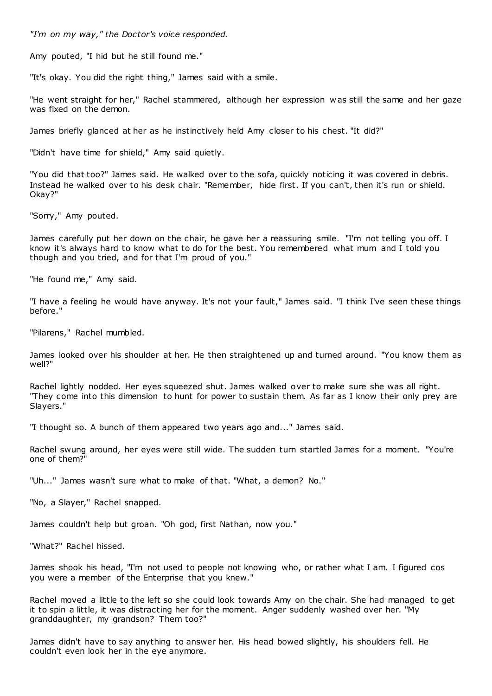*"I'm on my way," the Doctor's voice responded.*

Amy pouted, "I hid but he still found me."

"It's okay. You did the right thing," James said with a smile.

"He went straight for her," Rachel stammered, although her expression was still the same and her gaze was fixed on the demon.

James briefly glanced at her as he instinctively held Amy closer to his chest. "It did?"

"Didn't have time for shield," Amy said quietly.

"You did that too?" James said. He walked over to the sofa, quickly noticing it was covered in debris. Instead he walked over to his desk chair. "Remember, hide first. If you can't, then it's run or shield. Okay?"

"Sorry," Amy pouted.

James carefully put her down on the chair, he gave her a reassuring smile. "I'm not telling you off. I know it's always hard to know what to do for the best. You remembered what mum and I told you though and you tried, and for that I'm proud of you."

"He found me," Amy said.

"I have a feeling he would have anyway. It's not your fault," James said. "I think I've seen these things before."

"Pilarens," Rachel mumbled.

James looked over his shoulder at her. He then straightened up and turned around. "You know them as well?"

Rachel lightly nodded. Her eyes squeezed shut. James walked over to make sure she was all right. "They come into this dimension to hunt for power to sustain them. As far as I know their only prey are Slayers."

"I thought so. A bunch of them appeared two years ago and..." James said.

Rachel swung around, her eyes were still wide. The sudden turn startled James for a moment. "You're one of them?"

"Uh..." James wasn't sure what to make of that. "What, a demon? No."

"No, a Slayer," Rachel snapped.

James couldn't help but groan. "Oh god, first Nathan, now you."

"What?" Rachel hissed.

James shook his head, "I'm not used to people not knowing who, or rather what I am. I figured cos you were a member of the Enterprise that you knew."

Rachel moved a little to the left so she could look towards Amy on the chair. She had managed to get it to spin a little, it was distracting her for the moment. Anger suddenly washed over her. "My granddaughter, my grandson? Them too?"

James didn't have to say anything to answer her. His head bowed slightly, his shoulders fell. He couldn't even look her in the eye anymore.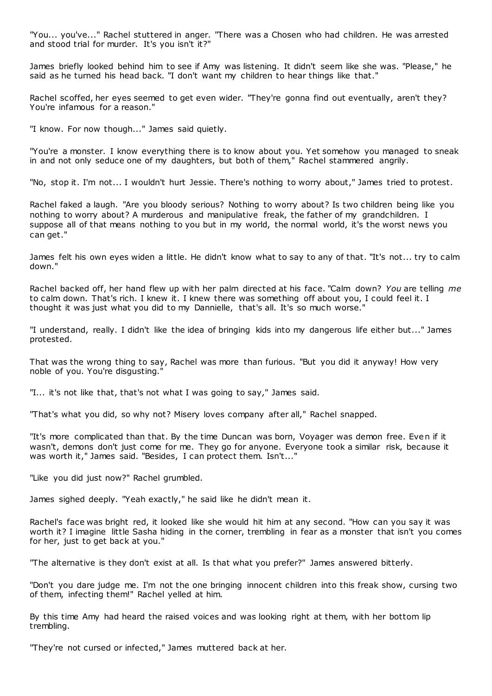"You... you've..." Rachel stuttered in anger. "There was a Chosen who had children. He was arrested and stood trial for murder. It's you isn't it?"

James briefly looked behind him to see if Amy was listening. It didn't seem like she was. "Please," he said as he turned his head back. "I don't want my children to hear things like that."

Rachel scoffed, her eyes seemed to get even wider. "They're gonna find out eventually, aren't they? You're infamous for a reason."

"I know. For now though..." James said quietly.

"You're a monster. I know everything there is to know about you. Yet somehow you managed to sneak in and not only seduce one of my daughters, but both of them," Rachel stammered angrily.

"No, stop it. I'm not... I wouldn't hurt Jessie. There's nothing to worry about," James tried to protest.

Rachel faked a laugh. "Are you bloody serious? Nothing to worry about? Is two children being like you nothing to worry about? A murderous and manipulative freak, the father of my grandchildren. I suppose all of that means nothing to you but in my world, the normal world, it's the worst news you can get."

James felt his own eyes widen a little. He didn't know what to say to any of that. "It's not... try to calm down."

Rachel backed off, her hand flew up with her palm directed at his face. "Calm down? *You* are telling *me* to calm down. That's rich. I knew it. I knew there was something off about you, I could feel it. I thought it was just what you did to my Dannielle, that's all. It's so much worse."

"I understand, really. I didn't like the idea of bringing kids into my dangerous life either but..." James protested.

That was the wrong thing to say, Rachel was more than furious. "But you did it anyway! How very noble of you. You're disgusting."

"I... it's not like that, that's not what I was going to say," James said.

"That's what you did, so why not? Misery loves company after all," Rachel snapped.

"It's more complicated than that. By the time Duncan was born, Voyager was demon free. Even if it wasn't, demons don't just come for me. They go for anyone. Everyone took a similar risk, because it was worth it," James said. "Besides, I can protect them. Isn't..."

"Like you did just now?" Rachel grumbled.

James sighed deeply. "Yeah exactly," he said like he didn't mean it.

Rachel's face was bright red, it looked like she would hit him at any second. "How can you say it was worth it? I imagine little Sasha hiding in the corner, trembling in fear as a monster that isn't you comes for her, just to get back at you."

"The alternative is they don't exist at all. Is that what you prefer?" James answered bitterly.

"Don't you dare judge me. I'm not the one bringing innocent children into this freak show, cursing two of them, infecting them!" Rachel yelled at him.

By this time Amy had heard the raised voices and was looking right at them, with her bottom lip trembling.

"They're not cursed or infected," James muttered back at her.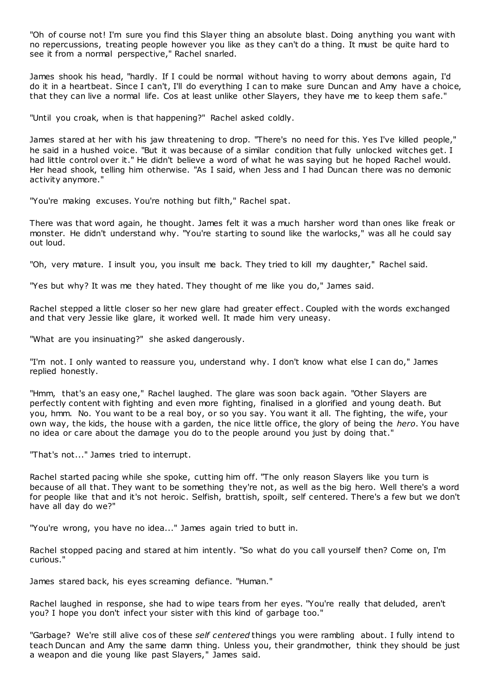"Oh of course not! I'm sure you find this Slayer thing an absolute blast. Doing anything you want with no repercussions, treating people however you like as they can't do a thing. It must be quite hard to see it from a normal perspective," Rachel snarled.

James shook his head, "hardly. If I could be normal without having to worry about demons again, I'd do it in a heartbeat. Since I can't, I'll do everything I can to make sure Duncan and Amy have a choice, that they can live a normal life. Cos at least unlike other Slayers, they have me to keep them safe."

"Until you croak, when is that happening?" Rachel asked coldly.

James stared at her with his jaw threatening to drop. "There's no need for this. Yes I've killed people," he said in a hushed voice. "But it was because of a similar condition that fully unlocked witches get. I had little control over it." He didn't believe a word of what he was saying but he hoped Rachel would. Her head shook, telling him otherwise. "As I said, when Jess and I had Duncan there was no demonic activity anymore."

"You're making excuses. You're nothing but filth," Rachel spat.

There was that word again, he thought. James felt it was a much harsher word than ones like freak or monster. He didn't understand why. "You're starting to sound like the warlocks," was all he could say out loud.

"Oh, very mature. I insult you, you insult me back. They tried to kill my daughter," Rachel said.

"Yes but why? It was me they hated. They thought of me like you do," James said.

Rachel stepped a little closer so her new glare had greater effect. Coupled with the words exchanged and that very Jessie like glare, it worked well. It made him very uneasy.

"What are you insinuating?" she asked dangerously.

"I'm not. I only wanted to reassure you, understand why. I don't know what else I can do," James replied honestly.

"Hmm, that's an easy one," Rachel laughed. The glare was soon back again. "Other Slayers are perfectly content with fighting and even more fighting, finalised in a glorified and young death. But you, hmm. No. You want to be a real boy, or so you say. You want it all. The fighting, the wife, your own way, the kids, the house with a garden, the nice little office, the glory of being the *hero*. You have no idea or care about the damage you do to the people around you just by doing that."

"That's not..." James tried to interrupt.

Rachel started pacing while she spoke, cutting him off. "The only reason Slayers like you turn is because of all that. They want to be something they're not, as well as the big hero. Well there's a word for people like that and it's not heroic . Selfish, brattish, spoilt, self centered. There's a few but we don't have all day do we?"

"You're wrong, you have no idea..." James again tried to butt in.

Rachel stopped pacing and stared at him intently. "So what do you call yourself then? Come on, I'm curious."

James stared back, his eyes screaming defiance. "Human."

Rachel laughed in response, she had to wipe tears from her eyes. "You're really that deluded, aren't you? I hope you don't infect your sister with this kind of garbage too."

"Garbage? We're still alive cos of these *self centered* things you were rambling about. I fully intend to teach Duncan and Amy the same damn thing. Unless you, their grandmother, think they should be just a weapon and die young like past Slayers," James said.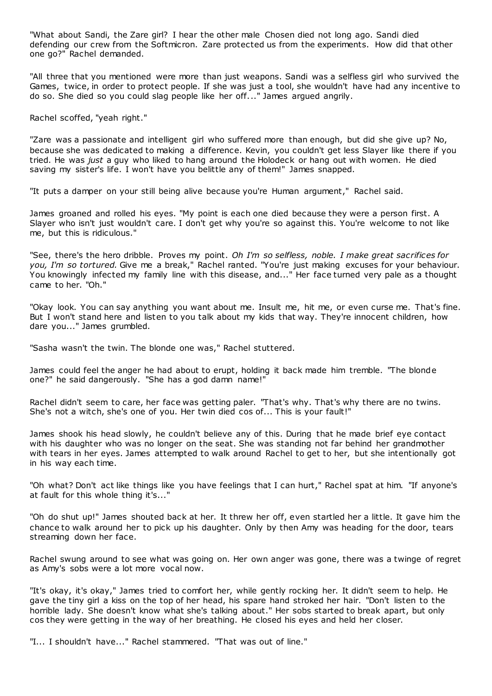"What about Sandi, the Zare girl? I hear the other male Chosen died not long ago. Sandi died defending our crew from the Softmicron. Zare protected us from the experiments. How did that other one go?" Rachel demanded.

"All three that you mentioned were more than just weapons. Sandi was a selfless girl who survived the Games, twice, in order to protect people. If she was just a tool, she wouldn't have had any incentive to do so. She died so you could slag people like her off..." James argued angrily.

Rachel scoffed, "yeah right."

"Zare was a passionate and intelligent girl who suffered more than enough, but did she give up? No, because she was dedicated to making a difference. Kevin, you couldn't get less Slayer like there if you tried. He was *just* a guy who liked to hang around the Holodeck or hang out with women. He died saving my sister's life. I won't have you belittle any of them!" James snapped.

"It puts a damper on your still being alive because you're Human argument," Rachel said.

James groaned and rolled his eyes. "My point is each one died because they were a person first. A Slayer who isn't just wouldn't care. I don't get why you're so against this. You're welcome to not like me, but this is ridiculous."

"See, there's the hero dribble. Proves my point. *Oh I'm so selfless, noble. I make great sacrifices for you, I'm so tortured.* Give me a break," Rachel ranted. "You're just making excuses for your behaviour. You knowingly infected my family line with this disease, and..." Her face turned very pale as a thought came to her. "Oh."

"Okay look. You can say anything you want about me. Insult me, hit me, or even curse me. That's fine. But I won't stand here and listen to you talk about my kids that way. They're innocent children, how dare you..." James grumbled.

"Sasha wasn't the twin. The blonde one was," Rachel stuttered.

James could feel the anger he had about to erupt, holding it back made him tremble. "The blonde one?" he said dangerously. "She has a god damn name!"

Rachel didn't seem to care, her face was getting paler. "That's why. That's why there are no twins. She's not a witch, she's one of you. Her twin died cos of... This is your fault!"

James shook his head slowly, he couldn't believe any of this. During that he made brief eye contact with his daughter who was no longer on the seat. She was standing not far behind her grandmother with tears in her eyes. James attempted to walk around Rachel to get to her, but she intentionally got in his way each time.

"Oh what? Don't act like things like you have feelings that I can hurt," Rachel spat at him. "If anyone's at fault for this whole thing it's..."

"Oh do shut up!" James shouted back at her. It threw her off, even startled her a little. It gave him the chance to walk around her to pick up his daughter. Only by then Amy was heading for the door, tears streaming down her face.

Rachel swung around to see what was going on. Her own anger was gone, there was a twinge of regret as Amy's sobs were a lot more vocal now.

"It's okay, it's okay," James tried to comfort her, while gently rocking her. It didn't seem to help. He gave the tiny girl a kiss on the top of her head, his spare hand stroked her hair. "Don't listen to the horrible lady. She doesn't know what she's talking about." Her sobs started to break apart, but only cos they were getting in the way of her breathing. He closed his eyes and held her closer.

"I... I shouldn't have..." Rachel stammered. "That was out of line."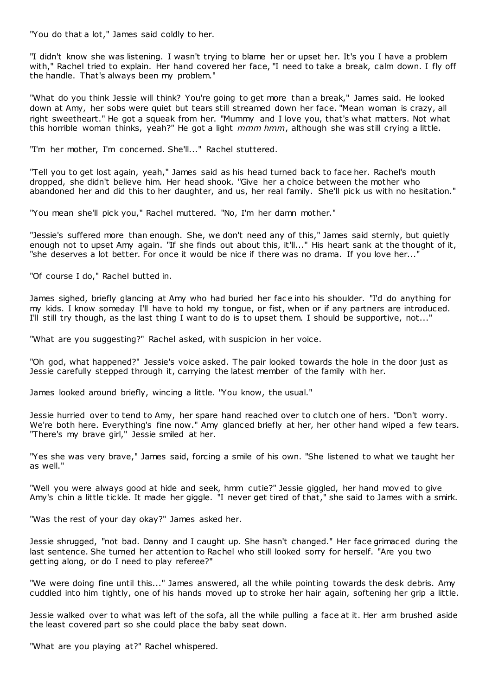"You do that a lot," James said coldly to her.

"I didn't know she was listening. I wasn't trying to blame her or upset her. It's you I have a problem with," Rachel tried to explain. Her hand covered her face, "I need to take a break, calm down. I fly off the handle. That's always been my problem."

"What do you think Jessie will think? You're going to get more than a break," James said. He looked down at Amy, her sobs were quiet but tears still streamed down her face. "Mean woman is crazy, all right sweetheart." He got a squeak from her. "Mummy and I love you, that's what matters. Not what this horrible woman thinks, yeah?" He got a light *mmm hmm*, although she was still crying a little.

"I'm her mother, I'm concerned. She'll..." Rachel stuttered.

"Tell you to get lost again, yeah," James said as his head turned back to face her. Rachel's mouth dropped, she didn't believe him. Her head shook. "Give her a choice between the mother who abandoned her and did this to her daughter, and us, her real family. She'll pick us with no hesitation."

"You mean she'll pick you," Rachel muttered. "No, I'm her damn mother."

"Jessie's suffered more than enough. She, we don't need any of this," James said sternly, but quietly enough not to upset Amy again. "If she finds out about this, it'll..." His heart sank at the thought of it, "she deserves a lot better. For once it would be nice if there was no drama. If you love her...'

"Of course I do," Rachel butted in.

James sighed, briefly glancing at Amy who had buried her face into his shoulder. "I'd do anything for my kids. I know someday I'll have to hold my tongue, or fist, when or if any partners are introduced. I'll still try though, as the last thing I want to do is to upset them. I should be supportive, not..."

"What are you suggesting?" Rachel asked, with suspicion in her voice.

"Oh god, what happened?" Jessie's voice asked. The pair looked towards the hole in the door just as Jessie carefully stepped through it, carrying the latest member of the family with her.

James looked around briefly, wincing a little. "You know, the usual."

Jessie hurried over to tend to Amy, her spare hand reached over to clutch one of hers. "Don't worry. We're both here. Everything's fine now." Amy glanced briefly at her, her other hand wiped a few tears. "There's my brave girl," Jessie smiled at her.

"Yes she was very brave," James said, forcing a smile of his own. "She listened to what we taught her as well."

"Well you were always good at hide and seek, hmm cutie?" Jessie giggled, her hand moved to give Amy's chin a little tickle. It made her giggle. "I never get tired of that," she said to James with a smirk.

"Was the rest of your day okay?" James asked her.

Jessie shrugged, "not bad. Danny and I caught up. She hasn't changed." Her face grimaced during the last sentence. She turned her attention to Rachel who still looked sorry for herself. "Are you two getting along, or do I need to play referee?"

"We were doing fine until this..." James answered, all the while pointing towards the desk debris. Amy cuddled into him tightly, one of his hands moved up to stroke her hair again, softening her grip a little.

Jessie walked over to what was left of the sofa, all the while pulling a face at it. Her arm brushed aside the least covered part so she could place the baby seat down.

"What are you playing at?" Rachel whispered.